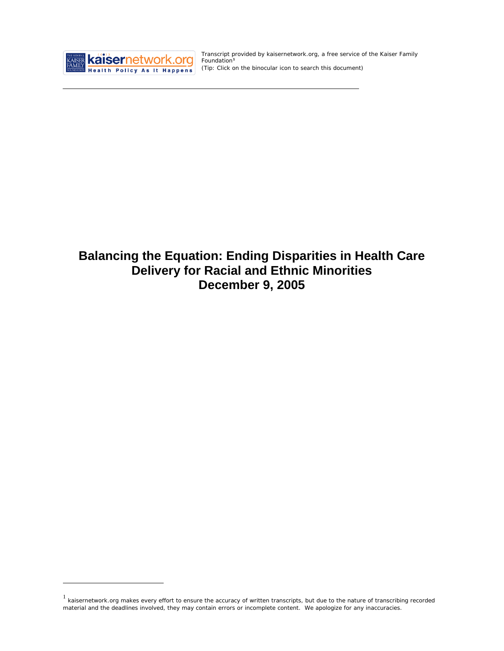

<u>.</u>

Transcript provided by kaisernetwork.org, a free service of the Kaiser Family Foundation<sup>[1](#page-0-0)</sup> *(Tip: Click on the binocular icon to search this document)* 

# **Balancing the Equation: Ending Disparities in Health Care Delivery for Racial and Ethnic Minorities December 9, 2005**

<span id="page-0-0"></span> $1$  kaisernetwork.org makes every effort to ensure the accuracy of written transcripts, but due to the nature of transcribing recorded material and the deadlines involved, they may contain errors or incomplete content. We apologize for any inaccuracies.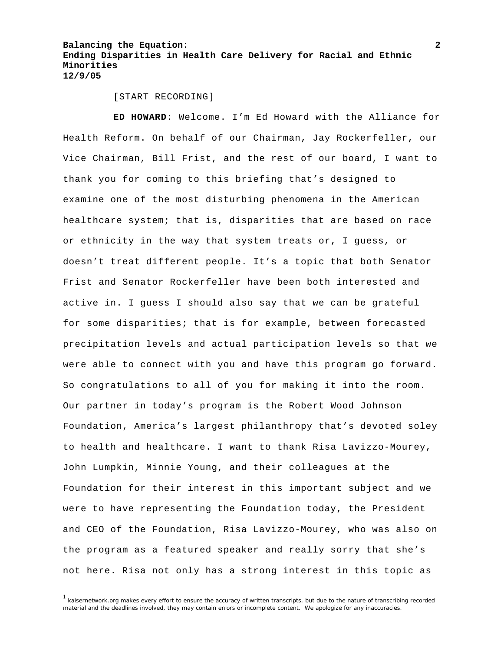[START RECORDING]

**ED HOWARD:** Welcome. I'm Ed Howard with the Alliance for Health Reform. On behalf of our Chairman, Jay Rockerfeller, our Vice Chairman, Bill Frist, and the rest of our board, I want to thank you for coming to this briefing that's designed to examine one of the most disturbing phenomena in the American healthcare system; that is, disparities that are based on race or ethnicity in the way that system treats or, I guess, or doesn't treat different people. It's a topic that both Senator Frist and Senator Rockerfeller have been both interested and active in. I guess I should also say that we can be grateful for some disparities; that is for example, between forecasted precipitation levels and actual participation levels so that we were able to connect with you and have this program go forward. So congratulations to all of you for making it into the room. Our partner in today's program is the Robert Wood Johnson Foundation, America's largest philanthropy that's devoted soley to health and healthcare. I want to thank Risa Lavizzo-Mourey, John Lumpkin, Minnie Young, and their colleagues at the Foundation for their interest in this important subject and we were to have representing the Foundation today, the President and CEO of the Foundation, Risa Lavizzo-Mourey, who was also on the program as a featured speaker and really sorry that she's not here. Risa not only has a strong interest in this topic as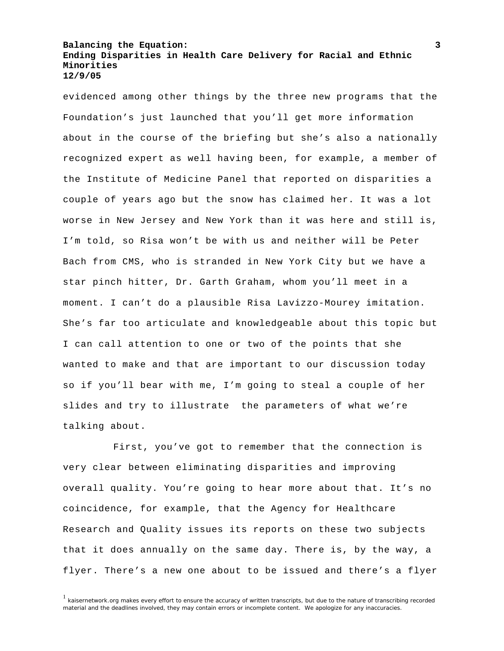evidenced among other things by the three new programs that the Foundation's just launched that you'll get more information about in the course of the briefing but she's also a nationally recognized expert as well having been, for example, a member of the Institute of Medicine Panel that reported on disparities a couple of years ago but the snow has claimed her. It was a lot worse in New Jersey and New York than it was here and still is, I'm told, so Risa won't be with us and neither will be Peter Bach from CMS, who is stranded in New York City but we have a star pinch hitter, Dr. Garth Graham, whom you'll meet in a moment. I can't do a plausible Risa Lavizzo-Mourey imitation. She's far too articulate and knowledgeable about this topic but I can call attention to one or two of the points that she wanted to make and that are important to our discussion today so if you'll bear with me, I'm going to steal a couple of her slides and try to illustrate the parameters of what we're talking about.

First, you've got to remember that the connection is very clear between eliminating disparities and improving overall quality. You're going to hear more about that. It's no coincidence, for example, that the Agency for Healthcare Research and Quality issues its reports on these two subjects that it does annually on the same day. There is, by the way, a flyer. There's a new one about to be issued and there's a flyer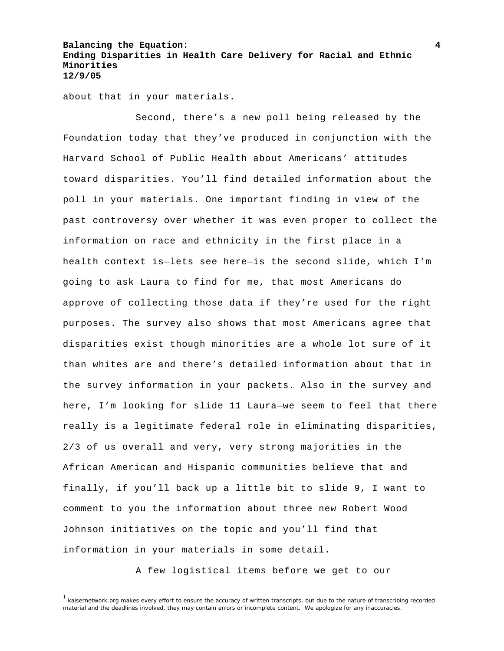about that in your materials.

 Second, there's a new poll being released by the Foundation today that they've produced in conjunction with the Harvard School of Public Health about Americans' attitudes toward disparities. You'll find detailed information about the poll in your materials. One important finding in view of the past controversy over whether it was even proper to collect the information on race and ethnicity in the first place in a health context is—lets see here—is the second slide, which I'm going to ask Laura to find for me, that most Americans do approve of collecting those data if they're used for the right purposes. The survey also shows that most Americans agree that disparities exist though minorities are a whole lot sure of it than whites are and there's detailed information about that in the survey information in your packets. Also in the survey and here, I'm looking for slide 11 Laura—we seem to feel that there really is a legitimate federal role in eliminating disparities, 2/3 of us overall and very, very strong majorities in the African American and Hispanic communities believe that and finally, if you'll back up a little bit to slide 9, I want to comment to you the information about three new Robert Wood Johnson initiatives on the topic and you'll find that information in your materials in some detail.

A few logistical items before we get to our

<sup>&</sup>lt;sup>1</sup> kaisernetwork.org makes every effort to ensure the accuracy of written transcripts, but due to the nature of transcribing recorded material and the deadlines involved, they may contain errors or incomplete content. We apologize for any inaccuracies.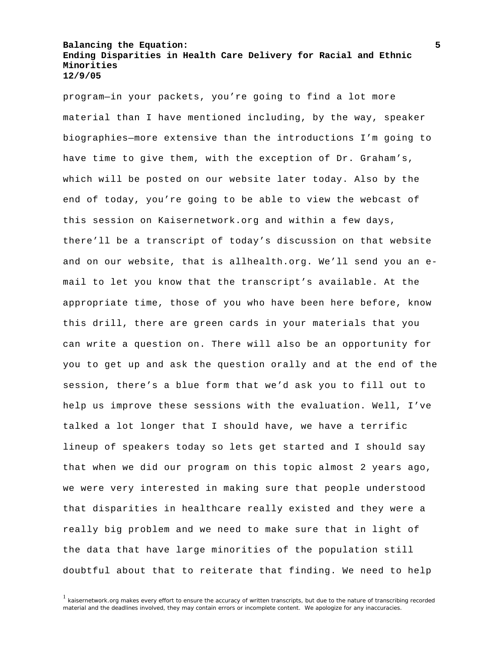program—in your packets, you're going to find a lot more material than I have mentioned including, by the way, speaker biographies—more extensive than the introductions I'm going to have time to give them, with the exception of Dr. Graham's, which will be posted on our website later today. Also by the end of today, you're going to be able to view the webcast of this session on Kaisernetwork.org and within a few days, there'll be a transcript of today's discussion on that website and on our website, that is allhealth.org. We'll send you an email to let you know that the transcript's available. At the appropriate time, those of you who have been here before, know this drill, there are green cards in your materials that you can write a question on. There will also be an opportunity for you to get up and ask the question orally and at the end of the session, there's a blue form that we'd ask you to fill out to help us improve these sessions with the evaluation. Well, I've talked a lot longer that I should have, we have a terrific lineup of speakers today so lets get started and I should say that when we did our program on this topic almost 2 years ago, we were very interested in making sure that people understood that disparities in healthcare really existed and they were a really big problem and we need to make sure that in light of the data that have large minorities of the population still doubtful about that to reiterate that finding. We need to help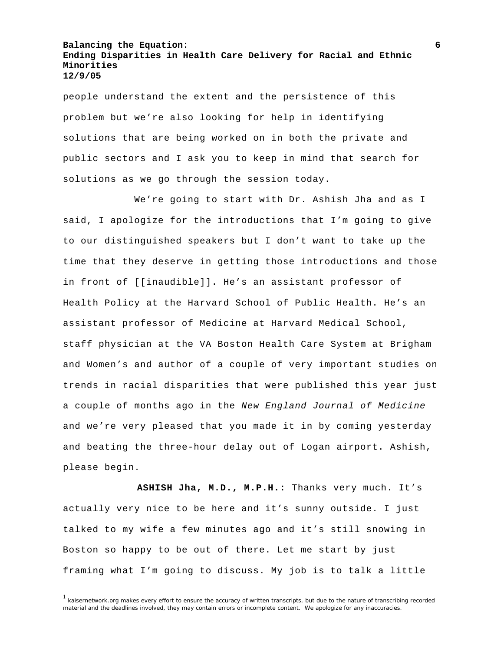people understand the extent and the persistence of this problem but we're also looking for help in identifying solutions that are being worked on in both the private and public sectors and I ask you to keep in mind that search for solutions as we go through the session today.

 We're going to start with Dr. Ashish Jha and as I said, I apologize for the introductions that I'm going to give to our distinguished speakers but I don't want to take up the time that they deserve in getting those introductions and those in front of [[inaudible]]. He's an assistant professor of Health Policy at the Harvard School of Public Health. He's an assistant professor of Medicine at Harvard Medical School, staff physician at the VA Boston Health Care System at Brigham and Women's and author of a couple of very important studies on trends in racial disparities that were published this year just a couple of months ago in the *New England Journal of Medicine* and we're very pleased that you made it in by coming yesterday and beating the three-hour delay out of Logan airport. Ashish, please begin.

 **ASHISH Jha, M.D., M.P.H.:** Thanks very much. It's actually very nice to be here and it's sunny outside. I just talked to my wife a few minutes ago and it's still snowing in Boston so happy to be out of there. Let me start by just framing what I'm going to discuss. My job is to talk a little

 $<sup>1</sup>$  kaisernetwork.org makes every effort to ensure the accuracy of written transcripts, but due to the nature of transcribing recorded</sup> material and the deadlines involved, they may contain errors or incomplete content. We apologize for any inaccuracies.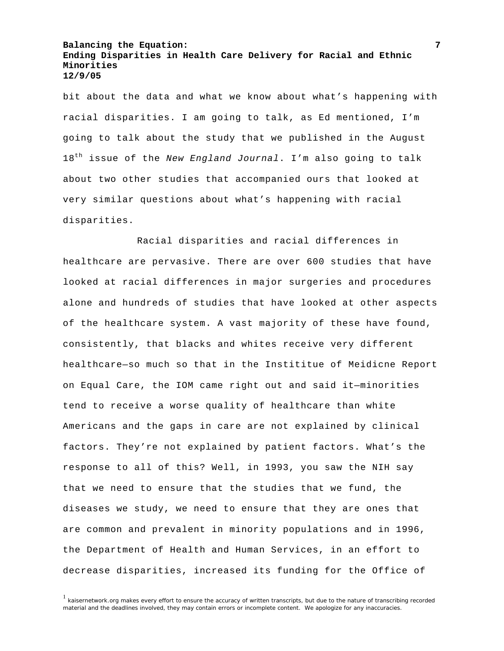bit about the data and what we know about what's happening with racial disparities. I am going to talk, as Ed mentioned, I'm going to talk about the study that we published in the August 18th issue of the *New England Journal*. I'm also going to talk about two other studies that accompanied ours that looked at very similar questions about what's happening with racial disparities.

 Racial disparities and racial differences in healthcare are pervasive. There are over 600 studies that have looked at racial differences in major surgeries and procedures alone and hundreds of studies that have looked at other aspects of the healthcare system. A vast majority of these have found, consistently, that blacks and whites receive very different healthcare—so much so that in the Instititue of Meidicne Report on Equal Care, the IOM came right out and said it—minorities tend to receive a worse quality of healthcare than white Americans and the gaps in care are not explained by clinical factors. They're not explained by patient factors. What's the response to all of this? Well, in 1993, you saw the NIH say that we need to ensure that the studies that we fund, the diseases we study, we need to ensure that they are ones that are common and prevalent in minority populations and in 1996, the Department of Health and Human Services, in an effort to decrease disparities, increased its funding for the Office of

<sup>&</sup>lt;sup>1</sup> kaisernetwork.org makes every effort to ensure the accuracy of written transcripts, but due to the nature of transcribing recorded material and the deadlines involved, they may contain errors or incomplete content. We apologize for any inaccuracies.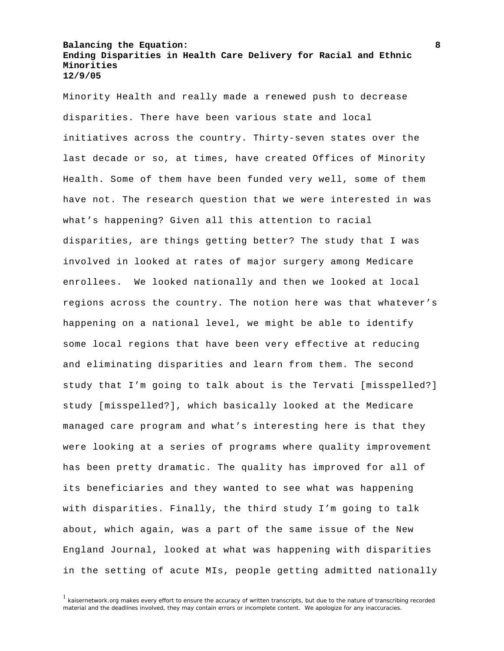Minority Health and really made a renewed push to decrease disparities. There have been various state and local initiatives across the country. Thirty-seven states over the last decade or so, at times, have created Offices of Minority Health. Some of them have been funded very well, some of them have not. The research question that we were interested in was what's happening? Given all this attention to racial disparities, are things getting better? The study that I was involved in looked at rates of major surgery among Medicare enrollees. We looked nationally and then we looked at local regions across the country. The notion here was that whatever's happening on a national level, we might be able to identify some local regions that have been very effective at reducing and eliminating disparities and learn from them. The second study that I'm going to talk about is the Tervati [misspelled?] study [misspelled?], which basically looked at the Medicare managed care program and what's interesting here is that they were looking at a series of programs where quality improvement has been pretty dramatic. The quality has improved for all of its beneficiaries and they wanted to see what was happening with disparities. Finally, the third study I'm going to talk about, which again, was a part of the same issue of the New England Journal, looked at what was happening with disparities in the setting of acute MIs, people getting admitted nationally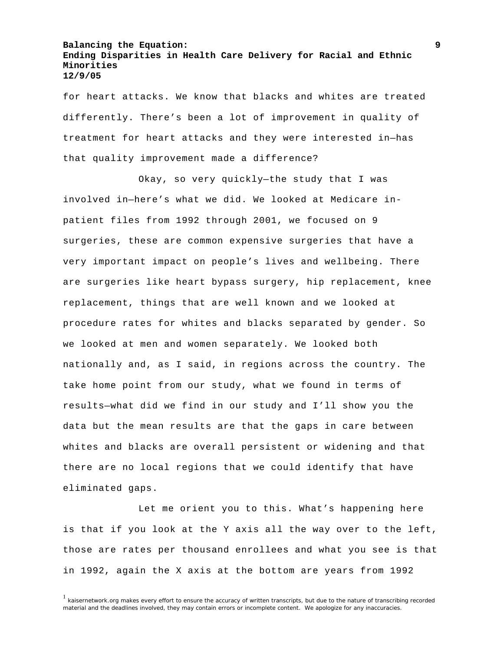for heart attacks. We know that blacks and whites are treated differently. There's been a lot of improvement in quality of treatment for heart attacks and they were interested in—has that quality improvement made a difference?

 Okay, so very quickly—the study that I was involved in—here's what we did. We looked at Medicare inpatient files from 1992 through 2001, we focused on 9 surgeries, these are common expensive surgeries that have a very important impact on people's lives and wellbeing. There are surgeries like heart bypass surgery, hip replacement, knee replacement, things that are well known and we looked at procedure rates for whites and blacks separated by gender. So we looked at men and women separately. We looked both nationally and, as I said, in regions across the country. The take home point from our study, what we found in terms of results—what did we find in our study and I'll show you the data but the mean results are that the gaps in care between whites and blacks are overall persistent or widening and that there are no local regions that we could identify that have eliminated gaps.

 Let me orient you to this. What's happening here is that if you look at the Y axis all the way over to the left, those are rates per thousand enrollees and what you see is that in 1992, again the X axis at the bottom are years from 1992

<sup>&</sup>lt;sup>1</sup> kaisernetwork.org makes every effort to ensure the accuracy of written transcripts, but due to the nature of transcribing recorded material and the deadlines involved, they may contain errors or incomplete content. We apologize for any inaccuracies.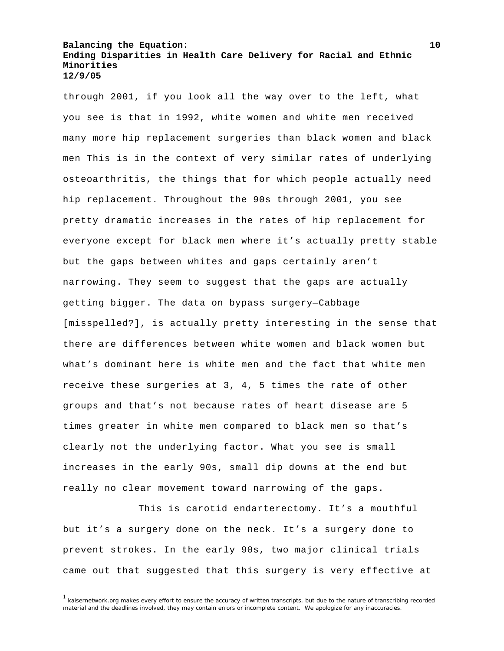through 2001, if you look all the way over to the left, what you see is that in 1992, white women and white men received many more hip replacement surgeries than black women and black men This is in the context of very similar rates of underlying osteoarthritis, the things that for which people actually need hip replacement. Throughout the 90s through 2001, you see pretty dramatic increases in the rates of hip replacement for everyone except for black men where it's actually pretty stable but the gaps between whites and gaps certainly aren't narrowing. They seem to suggest that the gaps are actually getting bigger. The data on bypass surgery—Cabbage [misspelled?], is actually pretty interesting in the sense that there are differences between white women and black women but what's dominant here is white men and the fact that white men receive these surgeries at 3, 4, 5 times the rate of other groups and that's not because rates of heart disease are 5 times greater in white men compared to black men so that's clearly not the underlying factor. What you see is small increases in the early 90s, small dip downs at the end but really no clear movement toward narrowing of the gaps.

 This is carotid endarterectomy. It's a mouthful but it's a surgery done on the neck. It's a surgery done to prevent strokes. In the early 90s, two major clinical trials came out that suggested that this surgery is very effective at

 $1$  kaisernetwork.org makes every effort to ensure the accuracy of written transcripts, but due to the nature of transcribing recorded material and the deadlines involved, they may contain errors or incomplete content. We apologize for any inaccuracies.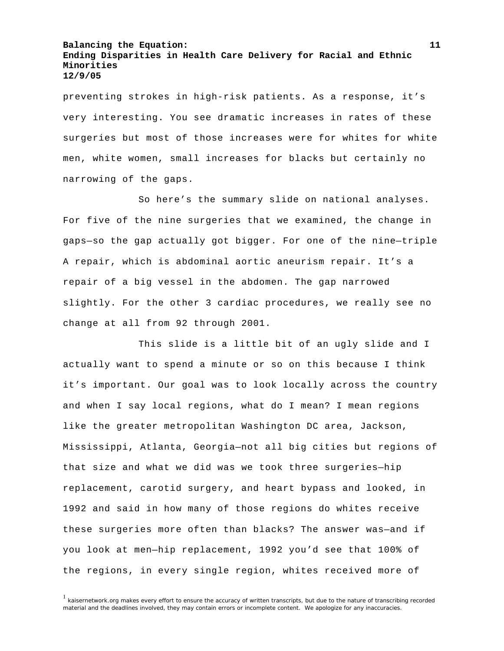preventing strokes in high-risk patients. As a response, it's very interesting. You see dramatic increases in rates of these surgeries but most of those increases were for whites for white men, white women, small increases for blacks but certainly no narrowing of the gaps.

 So here's the summary slide on national analyses. For five of the nine surgeries that we examined, the change in gaps—so the gap actually got bigger. For one of the nine—triple A repair, which is abdominal aortic aneurism repair. It's a repair of a big vessel in the abdomen. The gap narrowed slightly. For the other 3 cardiac procedures, we really see no change at all from 92 through 2001.

 This slide is a little bit of an ugly slide and I actually want to spend a minute or so on this because I think it's important. Our goal was to look locally across the country and when I say local regions, what do I mean? I mean regions like the greater metropolitan Washington DC area, Jackson, Mississippi, Atlanta, Georgia—not all big cities but regions of that size and what we did was we took three surgeries—hip replacement, carotid surgery, and heart bypass and looked, in 1992 and said in how many of those regions do whites receive these surgeries more often than blacks? The answer was—and if you look at men—hip replacement, 1992 you'd see that 100% of the regions, in every single region, whites received more of

<sup>1</sup> kaisernetwork.org makes every effort to ensure the accuracy of written transcripts, but due to the nature of transcribing recorded material and the deadlines involved, they may contain errors or incomplete content. We apologize for any inaccuracies.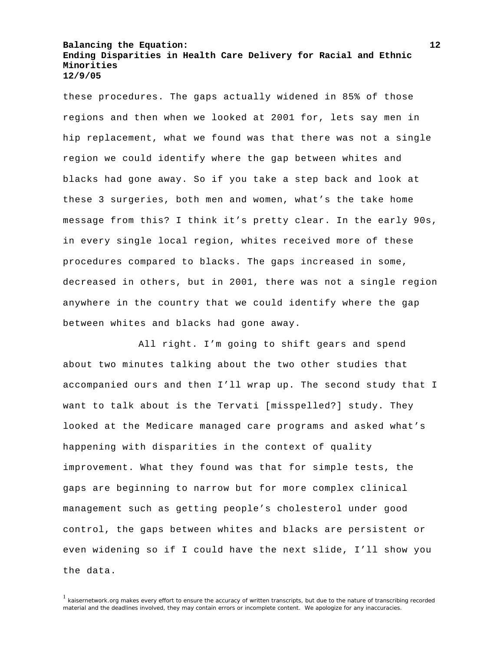these procedures. The gaps actually widened in 85% of those regions and then when we looked at 2001 for, lets say men in hip replacement, what we found was that there was not a single region we could identify where the gap between whites and blacks had gone away. So if you take a step back and look at these 3 surgeries, both men and women, what's the take home message from this? I think it's pretty clear. In the early 90s, in every single local region, whites received more of these procedures compared to blacks. The gaps increased in some, decreased in others, but in 2001, there was not a single region anywhere in the country that we could identify where the gap between whites and blacks had gone away.

 All right. I'm going to shift gears and spend about two minutes talking about the two other studies that accompanied ours and then I'll wrap up. The second study that I want to talk about is the Tervati [misspelled?] study. They looked at the Medicare managed care programs and asked what's happening with disparities in the context of quality improvement. What they found was that for simple tests, the gaps are beginning to narrow but for more complex clinical management such as getting people's cholesterol under good control, the gaps between whites and blacks are persistent or even widening so if I could have the next slide, I'll show you the data.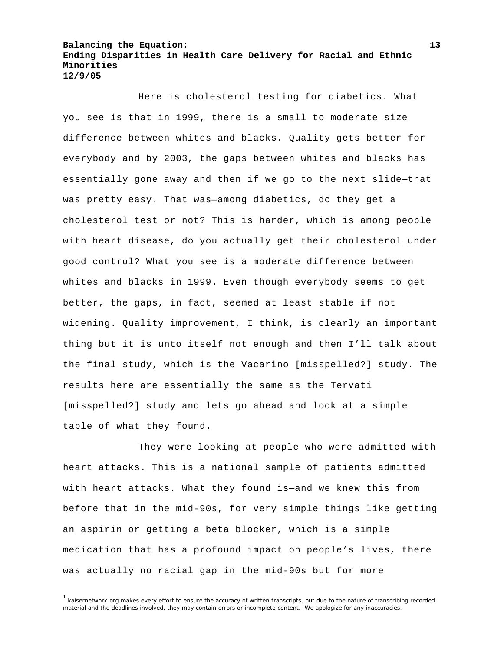Here is cholesterol testing for diabetics. What you see is that in 1999, there is a small to moderate size difference between whites and blacks. Quality gets better for everybody and by 2003, the gaps between whites and blacks has essentially gone away and then if we go to the next slide—that was pretty easy. That was—among diabetics, do they get a cholesterol test or not? This is harder, which is among people with heart disease, do you actually get their cholesterol under good control? What you see is a moderate difference between whites and blacks in 1999. Even though everybody seems to get better, the gaps, in fact, seemed at least stable if not widening. Quality improvement, I think, is clearly an important thing but it is unto itself not enough and then I'll talk about the final study, which is the Vacarino [misspelled?] study. The results here are essentially the same as the Tervati [misspelled?] study and lets go ahead and look at a simple table of what they found.

 They were looking at people who were admitted with heart attacks. This is a national sample of patients admitted with heart attacks. What they found is—and we knew this from before that in the mid-90s, for very simple things like getting an aspirin or getting a beta blocker, which is a simple medication that has a profound impact on people's lives, there was actually no racial gap in the mid-90s but for more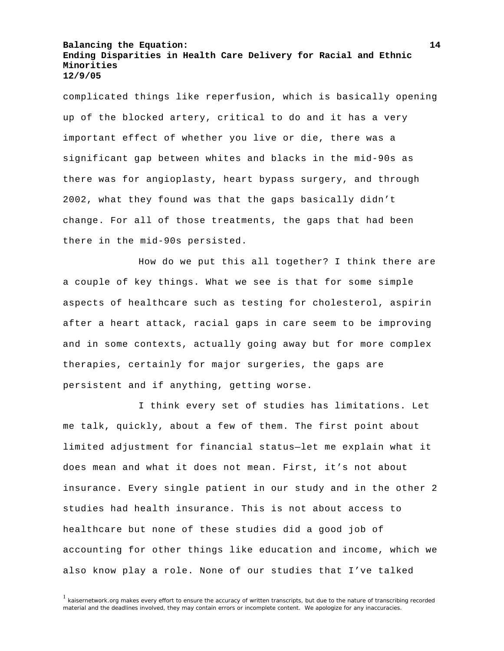complicated things like reperfusion, which is basically opening up of the blocked artery, critical to do and it has a very important effect of whether you live or die, there was a significant gap between whites and blacks in the mid-90s as there was for angioplasty, heart bypass surgery, and through 2002, what they found was that the gaps basically didn't change. For all of those treatments, the gaps that had been there in the mid-90s persisted.

 How do we put this all together? I think there are a couple of key things. What we see is that for some simple aspects of healthcare such as testing for cholesterol, aspirin after a heart attack, racial gaps in care seem to be improving and in some contexts, actually going away but for more complex therapies, certainly for major surgeries, the gaps are persistent and if anything, getting worse.

 I think every set of studies has limitations. Let me talk, quickly, about a few of them. The first point about limited adjustment for financial status—let me explain what it does mean and what it does not mean. First, it's not about insurance. Every single patient in our study and in the other 2 studies had health insurance. This is not about access to healthcare but none of these studies did a good job of accounting for other things like education and income, which we also know play a role. None of our studies that I've talked

<sup>&</sup>lt;sup>1</sup> kaisernetwork.org makes every effort to ensure the accuracy of written transcripts, but due to the nature of transcribing recorded material and the deadlines involved, they may contain errors or incomplete content. We apologize for any inaccuracies.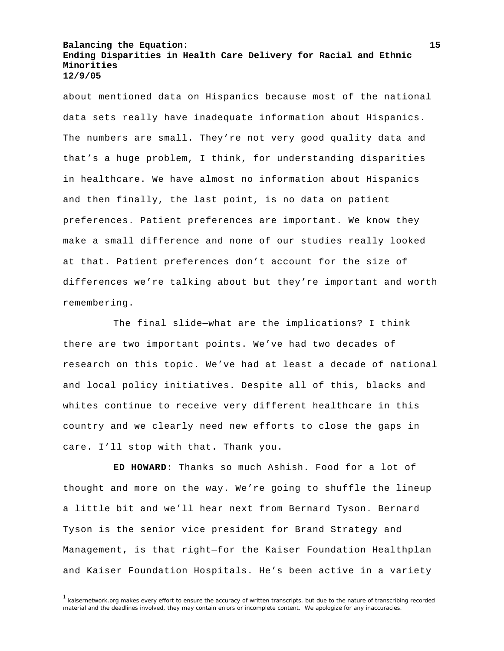about mentioned data on Hispanics because most of the national data sets really have inadequate information about Hispanics. The numbers are small. They're not very good quality data and that's a huge problem, I think, for understanding disparities in healthcare. We have almost no information about Hispanics and then finally, the last point, is no data on patient preferences. Patient preferences are important. We know they make a small difference and none of our studies really looked at that. Patient preferences don't account for the size of differences we're talking about but they're important and worth remembering.

The final slide—what are the implications? I think there are two important points. We've had two decades of research on this topic. We've had at least a decade of national and local policy initiatives. Despite all of this, blacks and whites continue to receive very different healthcare in this country and we clearly need new efforts to close the gaps in care. I'll stop with that. Thank you.

**ED HOWARD:** Thanks so much Ashish. Food for a lot of thought and more on the way. We're going to shuffle the lineup a little bit and we'll hear next from Bernard Tyson. Bernard Tyson is the senior vice president for Brand Strategy and Management, is that right—for the Kaiser Foundation Healthplan and Kaiser Foundation Hospitals. He's been active in a variety

<sup>&</sup>lt;sup>1</sup> kaisernetwork.org makes every effort to ensure the accuracy of written transcripts, but due to the nature of transcribing recorded material and the deadlines involved, they may contain errors or incomplete content. We apologize for any inaccuracies.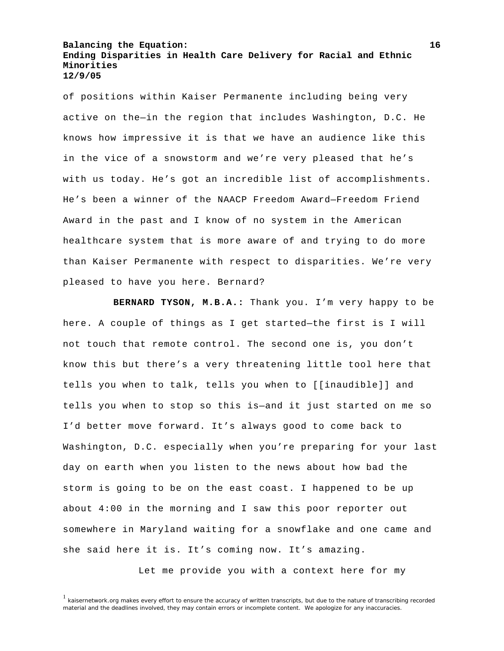of positions within Kaiser Permanente including being very active on the—in the region that includes Washington, D.C. He knows how impressive it is that we have an audience like this in the vice of a snowstorm and we're very pleased that he's with us today. He's got an incredible list of accomplishments. He's been a winner of the NAACP Freedom Award—Freedom Friend Award in the past and I know of no system in the American healthcare system that is more aware of and trying to do more than Kaiser Permanente with respect to disparities. We're very pleased to have you here. Bernard?

**BERNARD TYSON, M.B.A.:** Thank you. I'm very happy to be here. A couple of things as I get started—the first is I will not touch that remote control. The second one is, you don't know this but there's a very threatening little tool here that tells you when to talk, tells you when to [[inaudible]] and tells you when to stop so this is—and it just started on me so I'd better move forward. It's always good to come back to Washington, D.C. especially when you're preparing for your last day on earth when you listen to the news about how bad the storm is going to be on the east coast. I happened to be up about 4:00 in the morning and I saw this poor reporter out somewhere in Maryland waiting for a snowflake and one came and she said here it is. It's coming now. It's amazing.

Let me provide you with a context here for my

<sup>&</sup>lt;sup>1</sup> kaisernetwork.org makes every effort to ensure the accuracy of written transcripts, but due to the nature of transcribing recorded material and the deadlines involved, they may contain errors or incomplete content. We apologize for any inaccuracies.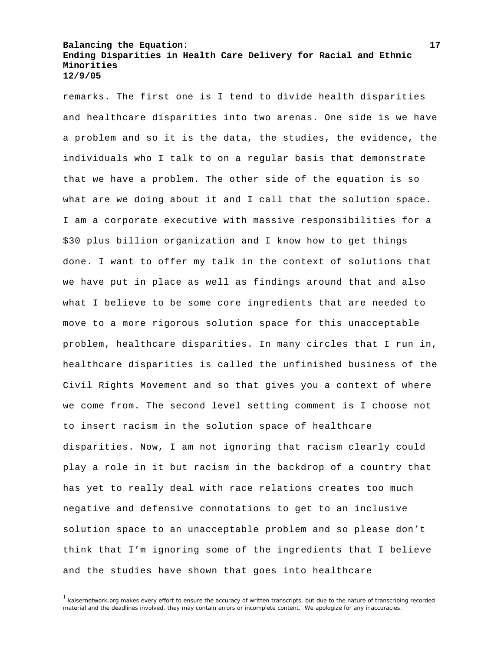remarks. The first one is I tend to divide health disparities and healthcare disparities into two arenas. One side is we have a problem and so it is the data, the studies, the evidence, the individuals who I talk to on a regular basis that demonstrate that we have a problem. The other side of the equation is so what are we doing about it and I call that the solution space. I am a corporate executive with massive responsibilities for a \$30 plus billion organization and I know how to get things done. I want to offer my talk in the context of solutions that we have put in place as well as findings around that and also what I believe to be some core ingredients that are needed to move to a more rigorous solution space for this unacceptable problem, healthcare disparities. In many circles that I run in, healthcare disparities is called the unfinished business of the Civil Rights Movement and so that gives you a context of where we come from. The second level setting comment is I choose not to insert racism in the solution space of healthcare disparities. Now, I am not ignoring that racism clearly could play a role in it but racism in the backdrop of a country that has yet to really deal with race relations creates too much negative and defensive connotations to get to an inclusive solution space to an unacceptable problem and so please don't think that I'm ignoring some of the ingredients that I believe and the studies have shown that goes into healthcare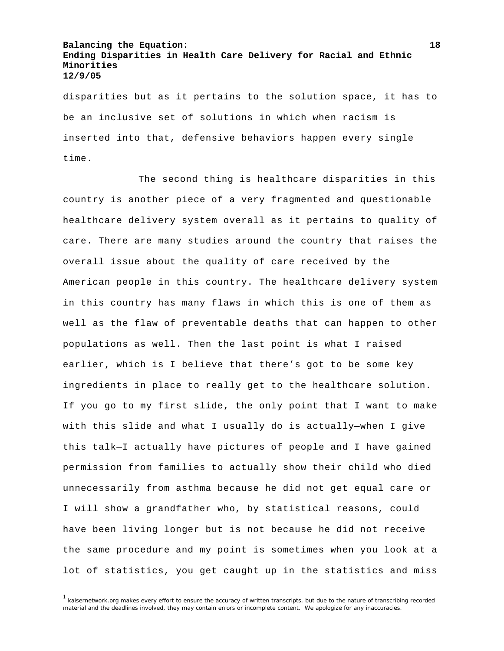disparities but as it pertains to the solution space, it has to be an inclusive set of solutions in which when racism is inserted into that, defensive behaviors happen every single time.

 The second thing is healthcare disparities in this country is another piece of a very fragmented and questionable healthcare delivery system overall as it pertains to quality of care. There are many studies around the country that raises the overall issue about the quality of care received by the American people in this country. The healthcare delivery system in this country has many flaws in which this is one of them as well as the flaw of preventable deaths that can happen to other populations as well. Then the last point is what I raised earlier, which is I believe that there's got to be some key ingredients in place to really get to the healthcare solution. If you go to my first slide, the only point that I want to make with this slide and what I usually do is actually—when I give this talk—I actually have pictures of people and I have gained permission from families to actually show their child who died unnecessarily from asthma because he did not get equal care or I will show a grandfather who, by statistical reasons, could have been living longer but is not because he did not receive the same procedure and my point is sometimes when you look at a lot of statistics, you get caught up in the statistics and miss

 $1$  kaisernetwork.org makes every effort to ensure the accuracy of written transcripts, but due to the nature of transcribing recorded material and the deadlines involved, they may contain errors or incomplete content. We apologize for any inaccuracies.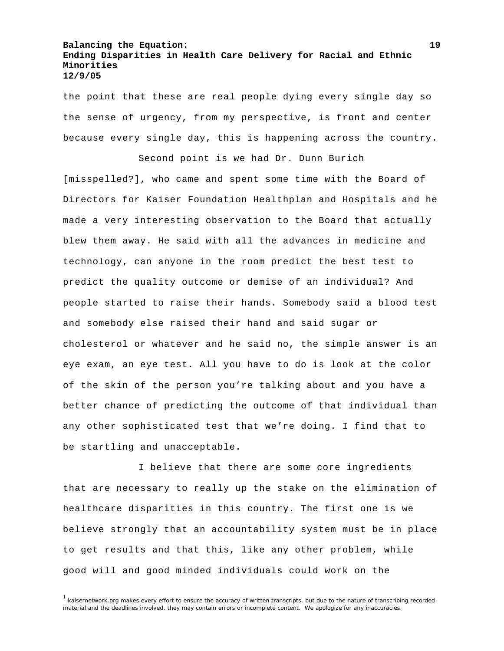the point that these are real people dying every single day so the sense of urgency, from my perspective, is front and center because every single day, this is happening across the country.

 Second point is we had Dr. Dunn Burich [misspelled?], who came and spent some time with the Board of Directors for Kaiser Foundation Healthplan and Hospitals and he made a very interesting observation to the Board that actually blew them away. He said with all the advances in medicine and technology, can anyone in the room predict the best test to predict the quality outcome or demise of an individual? And people started to raise their hands. Somebody said a blood test and somebody else raised their hand and said sugar or cholesterol or whatever and he said no, the simple answer is an eye exam, an eye test. All you have to do is look at the color of the skin of the person you're talking about and you have a better chance of predicting the outcome of that individual than any other sophisticated test that we're doing. I find that to be startling and unacceptable.

 I believe that there are some core ingredients that are necessary to really up the stake on the elimination of healthcare disparities in this country. The first one is we believe strongly that an accountability system must be in place to get results and that this, like any other problem, while good will and good minded individuals could work on the

<sup>&</sup>lt;sup>1</sup> kaisernetwork.org makes every effort to ensure the accuracy of written transcripts, but due to the nature of transcribing recorded material and the deadlines involved, they may contain errors or incomplete content. We apologize for any inaccuracies.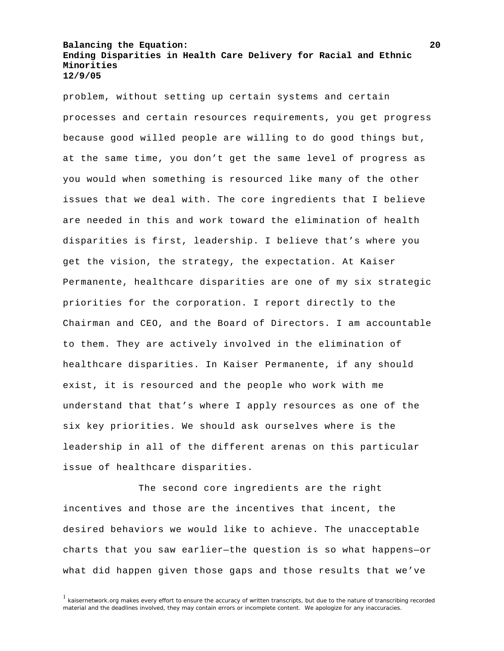problem, without setting up certain systems and certain processes and certain resources requirements, you get progress because good willed people are willing to do good things but, at the same time, you don't get the same level of progress as you would when something is resourced like many of the other issues that we deal with. The core ingredients that I believe are needed in this and work toward the elimination of health disparities is first, leadership. I believe that's where you get the vision, the strategy, the expectation. At Kaiser Permanente, healthcare disparities are one of my six strategic priorities for the corporation. I report directly to the Chairman and CEO, and the Board of Directors. I am accountable to them. They are actively involved in the elimination of healthcare disparities. In Kaiser Permanente, if any should exist, it is resourced and the people who work with me understand that that's where I apply resources as one of the six key priorities. We should ask ourselves where is the leadership in all of the different arenas on this particular issue of healthcare disparities.

 The second core ingredients are the right incentives and those are the incentives that incent, the desired behaviors we would like to achieve. The unacceptable charts that you saw earlier—the question is so what happens—or what did happen given those gaps and those results that we've

 $<sup>1</sup>$  kaisernetwork.org makes every effort to ensure the accuracy of written transcripts, but due to the nature of transcribing recorded</sup> material and the deadlines involved, they may contain errors or incomplete content. We apologize for any inaccuracies.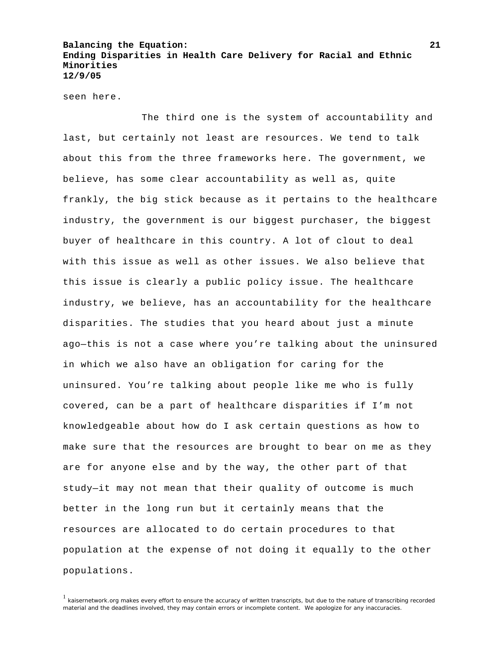seen here.

 The third one is the system of accountability and last, but certainly not least are resources. We tend to talk about this from the three frameworks here. The government, we believe, has some clear accountability as well as, quite frankly, the big stick because as it pertains to the healthcare industry, the government is our biggest purchaser, the biggest buyer of healthcare in this country. A lot of clout to deal with this issue as well as other issues. We also believe that this issue is clearly a public policy issue. The healthcare industry, we believe, has an accountability for the healthcare disparities. The studies that you heard about just a minute ago—this is not a case where you're talking about the uninsured in which we also have an obligation for caring for the uninsured. You're talking about people like me who is fully covered, can be a part of healthcare disparities if I'm not knowledgeable about how do I ask certain questions as how to make sure that the resources are brought to bear on me as they are for anyone else and by the way, the other part of that study—it may not mean that their quality of outcome is much better in the long run but it certainly means that the resources are allocated to do certain procedures to that population at the expense of not doing it equally to the other populations.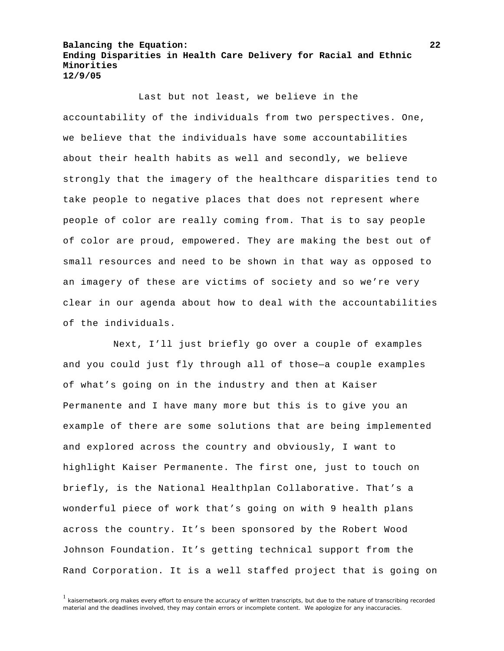Last but not least, we believe in the accountability of the individuals from two perspectives. One, we believe that the individuals have some accountabilities about their health habits as well and secondly, we believe strongly that the imagery of the healthcare disparities tend to take people to negative places that does not represent where people of color are really coming from. That is to say people of color are proud, empowered. They are making the best out of small resources and need to be shown in that way as opposed to an imagery of these are victims of society and so we're very clear in our agenda about how to deal with the accountabilities of the individuals.

Next, I'll just briefly go over a couple of examples and you could just fly through all of those—a couple examples of what's going on in the industry and then at Kaiser Permanente and I have many more but this is to give you an example of there are some solutions that are being implemented and explored across the country and obviously, I want to highlight Kaiser Permanente. The first one, just to touch on briefly, is the National Healthplan Collaborative. That's a wonderful piece of work that's going on with 9 health plans across the country. It's been sponsored by the Robert Wood Johnson Foundation. It's getting technical support from the Rand Corporation. It is a well staffed project that is going on

<sup>1</sup> kaisernetwork.org makes every effort to ensure the accuracy of written transcripts, but due to the nature of transcribing recorded material and the deadlines involved, they may contain errors or incomplete content. We apologize for any inaccuracies.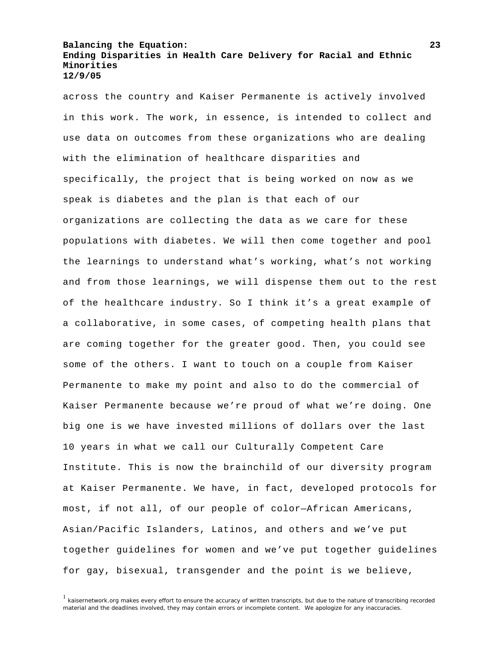across the country and Kaiser Permanente is actively involved in this work. The work, in essence, is intended to collect and use data on outcomes from these organizations who are dealing with the elimination of healthcare disparities and specifically, the project that is being worked on now as we speak is diabetes and the plan is that each of our organizations are collecting the data as we care for these populations with diabetes. We will then come together and pool the learnings to understand what's working, what's not working and from those learnings, we will dispense them out to the rest of the healthcare industry. So I think it's a great example of a collaborative, in some cases, of competing health plans that are coming together for the greater good. Then, you could see some of the others. I want to touch on a couple from Kaiser Permanente to make my point and also to do the commercial of Kaiser Permanente because we're proud of what we're doing. One big one is we have invested millions of dollars over the last 10 years in what we call our Culturally Competent Care Institute. This is now the brainchild of our diversity program at Kaiser Permanente. We have, in fact, developed protocols for most, if not all, of our people of color—African Americans, Asian/Pacific Islanders, Latinos, and others and we've put together guidelines for women and we've put together guidelines for gay, bisexual, transgender and the point is we believe,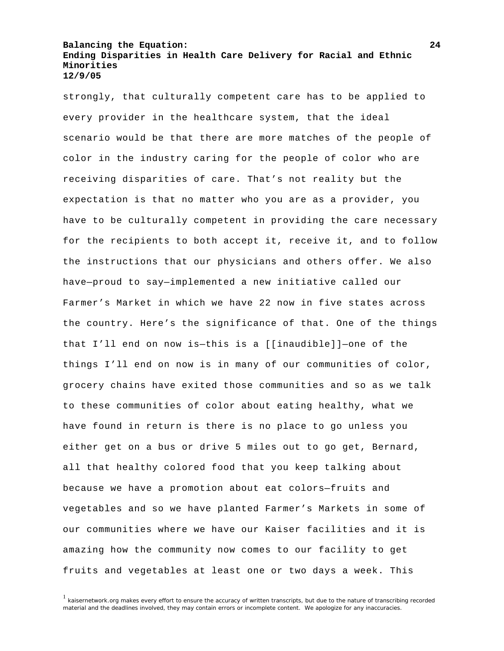strongly, that culturally competent care has to be applied to every provider in the healthcare system, that the ideal scenario would be that there are more matches of the people of color in the industry caring for the people of color who are receiving disparities of care. That's not reality but the expectation is that no matter who you are as a provider, you have to be culturally competent in providing the care necessary for the recipients to both accept it, receive it, and to follow the instructions that our physicians and others offer. We also have—proud to say—implemented a new initiative called our Farmer's Market in which we have 22 now in five states across the country. Here's the significance of that. One of the things that I'll end on now is—this is a [[inaudible]]—one of the things I'll end on now is in many of our communities of color, grocery chains have exited those communities and so as we talk to these communities of color about eating healthy, what we have found in return is there is no place to go unless you either get on a bus or drive 5 miles out to go get, Bernard, all that healthy colored food that you keep talking about because we have a promotion about eat colors—fruits and vegetables and so we have planted Farmer's Markets in some of our communities where we have our Kaiser facilities and it is amazing how the community now comes to our facility to get fruits and vegetables at least one or two days a week. This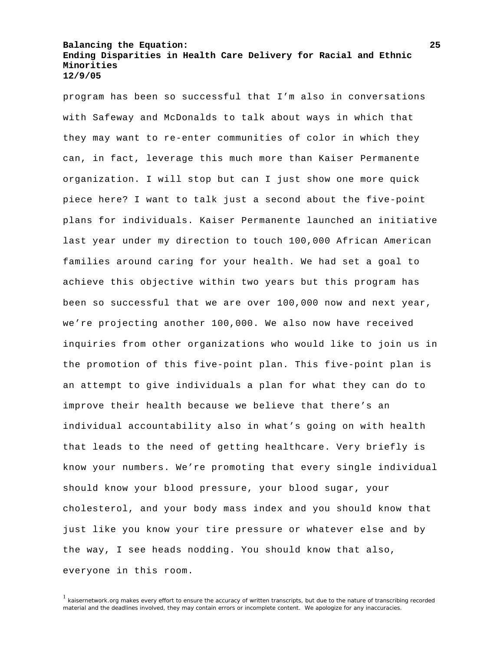program has been so successful that I'm also in conversations with Safeway and McDonalds to talk about ways in which that they may want to re-enter communities of color in which they can, in fact, leverage this much more than Kaiser Permanente organization. I will stop but can I just show one more quick piece here? I want to talk just a second about the five-point plans for individuals. Kaiser Permanente launched an initiative last year under my direction to touch 100,000 African American families around caring for your health. We had set a goal to achieve this objective within two years but this program has been so successful that we are over 100,000 now and next year, we're projecting another 100,000. We also now have received inquiries from other organizations who would like to join us in the promotion of this five-point plan. This five-point plan is an attempt to give individuals a plan for what they can do to improve their health because we believe that there's an individual accountability also in what's going on with health that leads to the need of getting healthcare. Very briefly is know your numbers. We're promoting that every single individual should know your blood pressure, your blood sugar, your cholesterol, and your body mass index and you should know that just like you know your tire pressure or whatever else and by the way, I see heads nodding. You should know that also, everyone in this room.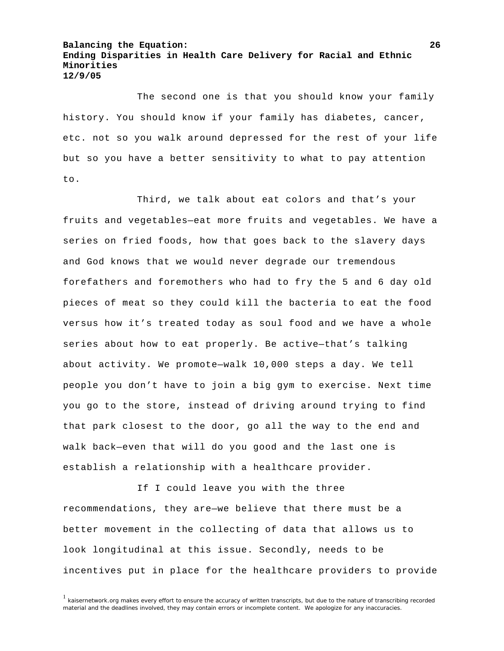The second one is that you should know your family history. You should know if your family has diabetes, cancer, etc. not so you walk around depressed for the rest of your life but so you have a better sensitivity to what to pay attention to.

 Third, we talk about eat colors and that's your fruits and vegetables—eat more fruits and vegetables. We have a series on fried foods, how that goes back to the slavery days and God knows that we would never degrade our tremendous forefathers and foremothers who had to fry the 5 and 6 day old pieces of meat so they could kill the bacteria to eat the food versus how it's treated today as soul food and we have a whole series about how to eat properly. Be active—that's talking about activity. We promote—walk 10,000 steps a day. We tell people you don't have to join a big gym to exercise. Next time you go to the store, instead of driving around trying to find that park closest to the door, go all the way to the end and walk back—even that will do you good and the last one is establish a relationship with a healthcare provider.

 If I could leave you with the three recommendations, they are—we believe that there must be a better movement in the collecting of data that allows us to look longitudinal at this issue. Secondly, needs to be incentives put in place for the healthcare providers to provide

<sup>&</sup>lt;sup>1</sup> kaisernetwork.org makes every effort to ensure the accuracy of written transcripts, but due to the nature of transcribing recorded material and the deadlines involved, they may contain errors or incomplete content. We apologize for any inaccuracies.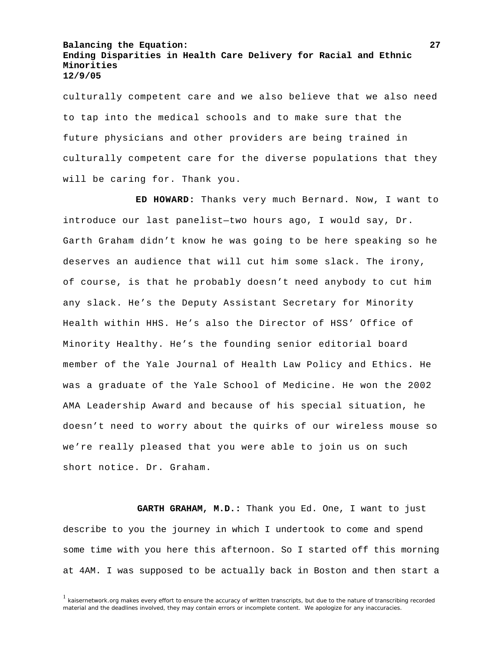culturally competent care and we also believe that we also need to tap into the medical schools and to make sure that the future physicians and other providers are being trained in culturally competent care for the diverse populations that they will be caring for. Thank you.

 **ED HOWARD:** Thanks very much Bernard. Now, I want to introduce our last panelist—two hours ago, I would say, Dr. Garth Graham didn't know he was going to be here speaking so he deserves an audience that will cut him some slack. The irony, of course, is that he probably doesn't need anybody to cut him any slack. He's the Deputy Assistant Secretary for Minority Health within HHS. He's also the Director of HSS' Office of Minority Healthy. He's the founding senior editorial board member of the Yale Journal of Health Law Policy and Ethics. He was a graduate of the Yale School of Medicine. He won the 2002 AMA Leadership Award and because of his special situation, he doesn't need to worry about the quirks of our wireless mouse so we're really pleased that you were able to join us on such short notice. Dr. Graham.

 **GARTH GRAHAM, M.D.:** Thank you Ed. One, I want to just describe to you the journey in which I undertook to come and spend some time with you here this afternoon. So I started off this morning at 4AM. I was supposed to be actually back in Boston and then start a

<sup>&</sup>lt;sup>1</sup> kaisernetwork.org makes every effort to ensure the accuracy of written transcripts, but due to the nature of transcribing recorded material and the deadlines involved, they may contain errors or incomplete content. We apologize for any inaccuracies.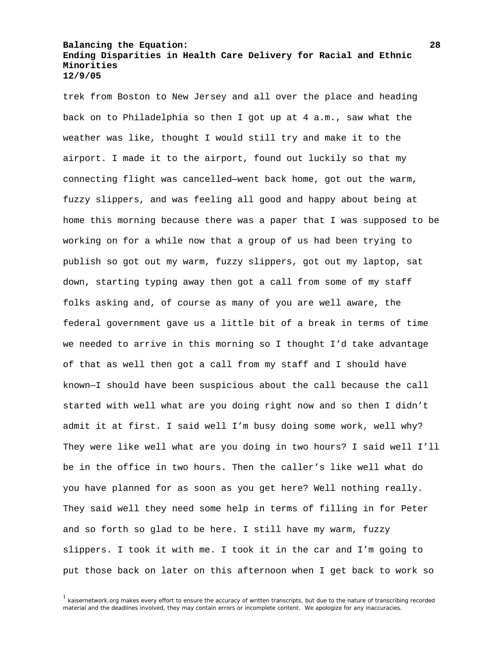trek from Boston to New Jersey and all over the place and heading back on to Philadelphia so then I got up at 4 a.m., saw what the weather was like, thought I would still try and make it to the airport. I made it to the airport, found out luckily so that my connecting flight was cancelled—went back home, got out the warm, fuzzy slippers, and was feeling all good and happy about being at home this morning because there was a paper that I was supposed to be working on for a while now that a group of us had been trying to publish so got out my warm, fuzzy slippers, got out my laptop, sat down, starting typing away then got a call from some of my staff folks asking and, of course as many of you are well aware, the federal government gave us a little bit of a break in terms of time we needed to arrive in this morning so I thought I'd take advantage of that as well then got a call from my staff and I should have known—I should have been suspicious about the call because the call started with well what are you doing right now and so then I didn't admit it at first. I said well I'm busy doing some work, well why? They were like well what are you doing in two hours? I said well I'll be in the office in two hours. Then the caller's like well what do you have planned for as soon as you get here? Well nothing really. They said well they need some help in terms of filling in for Peter and so forth so glad to be here. I still have my warm, fuzzy slippers. I took it with me. I took it in the car and I'm going to put those back on later on this afternoon when I get back to work so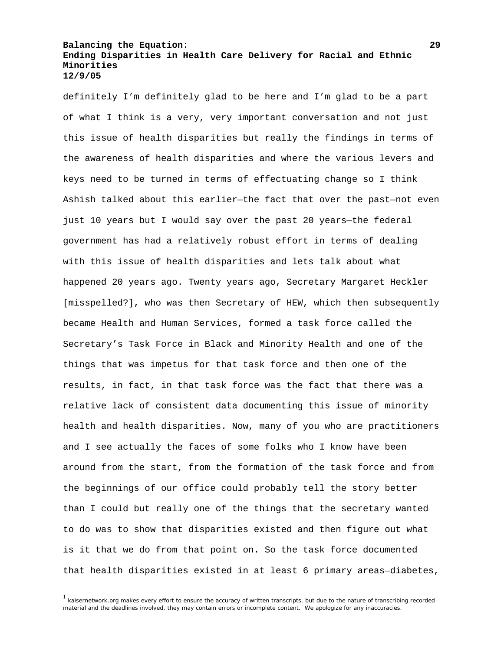definitely I'm definitely glad to be here and I'm glad to be a part of what I think is a very, very important conversation and not just this issue of health disparities but really the findings in terms of the awareness of health disparities and where the various levers and keys need to be turned in terms of effectuating change so I think Ashish talked about this earlier—the fact that over the past—not even just 10 years but I would say over the past 20 years—the federal government has had a relatively robust effort in terms of dealing with this issue of health disparities and lets talk about what happened 20 years ago. Twenty years ago, Secretary Margaret Heckler [misspelled?], who was then Secretary of HEW, which then subsequently became Health and Human Services, formed a task force called the Secretary's Task Force in Black and Minority Health and one of the things that was impetus for that task force and then one of the results, in fact, in that task force was the fact that there was a relative lack of consistent data documenting this issue of minority health and health disparities. Now, many of you who are practitioners and I see actually the faces of some folks who I know have been around from the start, from the formation of the task force and from the beginnings of our office could probably tell the story better than I could but really one of the things that the secretary wanted to do was to show that disparities existed and then figure out what is it that we do from that point on. So the task force documented that health disparities existed in at least 6 primary areas—diabetes,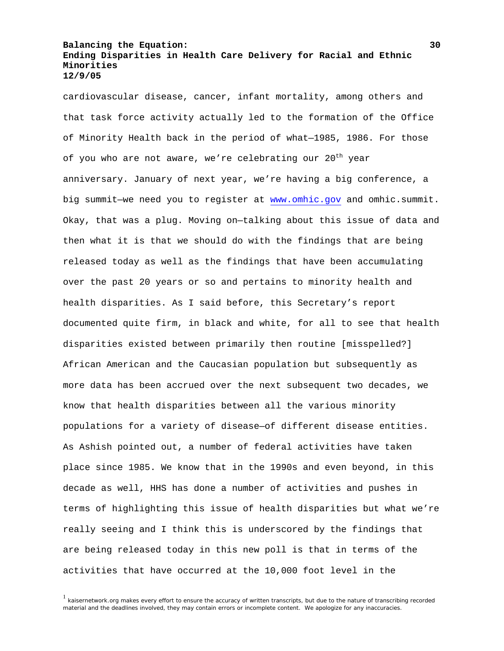cardiovascular disease, cancer, infant mortality, among others and that task force activity actually led to the formation of the Office of Minority Health back in the period of what—1985, 1986. For those of you who are not aware, we're celebrating our 20<sup>th</sup> year anniversary. January of next year, we're having a big conference, a big summit—we need you to register at [www.omhic.gov](http://www.omhic.gov/) and omhic.summit. Okay, that was a plug. Moving on—talking about this issue of data and then what it is that we should do with the findings that are being released today as well as the findings that have been accumulating over the past 20 years or so and pertains to minority health and health disparities. As I said before, this Secretary's report documented quite firm, in black and white, for all to see that health disparities existed between primarily then routine [misspelled?] African American and the Caucasian population but subsequently as more data has been accrued over the next subsequent two decades, we know that health disparities between all the various minority populations for a variety of disease—of different disease entities. As Ashish pointed out, a number of federal activities have taken place since 1985. We know that in the 1990s and even beyond, in this decade as well, HHS has done a number of activities and pushes in terms of highlighting this issue of health disparities but what we're really seeing and I think this is underscored by the findings that are being released today in this new poll is that in terms of the activities that have occurred at the 10,000 foot level in the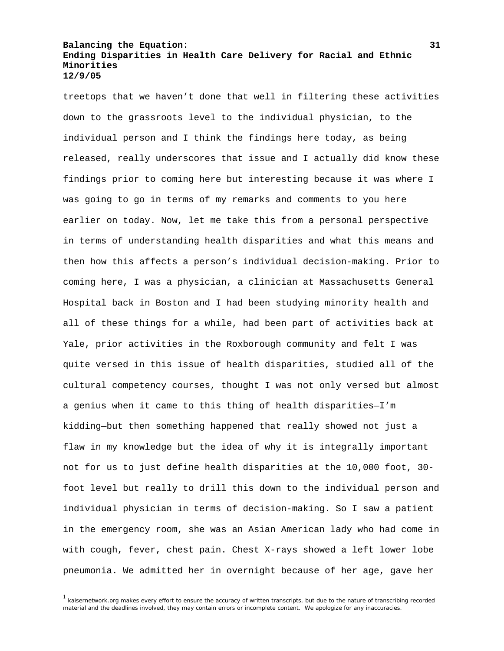treetops that we haven't done that well in filtering these activities down to the grassroots level to the individual physician, to the individual person and I think the findings here today, as being released, really underscores that issue and I actually did know these findings prior to coming here but interesting because it was where I was going to go in terms of my remarks and comments to you here earlier on today. Now, let me take this from a personal perspective in terms of understanding health disparities and what this means and then how this affects a person's individual decision-making. Prior to coming here, I was a physician, a clinician at Massachusetts General Hospital back in Boston and I had been studying minority health and all of these things for a while, had been part of activities back at Yale, prior activities in the Roxborough community and felt I was quite versed in this issue of health disparities, studied all of the cultural competency courses, thought I was not only versed but almost a genius when it came to this thing of health disparities—I'm kidding—but then something happened that really showed not just a flaw in my knowledge but the idea of why it is integrally important not for us to just define health disparities at the 10,000 foot, 30 foot level but really to drill this down to the individual person and individual physician in terms of decision-making. So I saw a patient in the emergency room, she was an Asian American lady who had come in with cough, fever, chest pain. Chest X-rays showed a left lower lobe pneumonia. We admitted her in overnight because of her age, gave her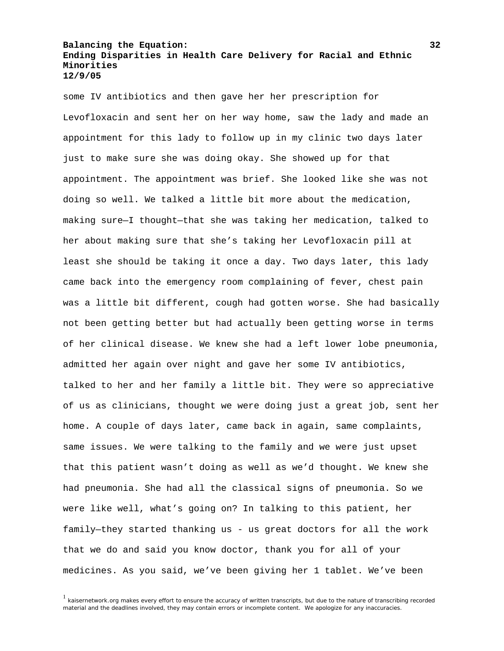some IV antibiotics and then gave her her prescription for Levofloxacin and sent her on her way home, saw the lady and made an appointment for this lady to follow up in my clinic two days later just to make sure she was doing okay. She showed up for that appointment. The appointment was brief. She looked like she was not doing so well. We talked a little bit more about the medication, making sure—I thought—that she was taking her medication, talked to her about making sure that she's taking her Levofloxacin pill at least she should be taking it once a day. Two days later, this lady came back into the emergency room complaining of fever, chest pain was a little bit different, cough had gotten worse. She had basically not been getting better but had actually been getting worse in terms of her clinical disease. We knew she had a left lower lobe pneumonia, admitted her again over night and gave her some IV antibiotics, talked to her and her family a little bit. They were so appreciative of us as clinicians, thought we were doing just a great job, sent her home. A couple of days later, came back in again, same complaints, same issues. We were talking to the family and we were just upset that this patient wasn't doing as well as we'd thought. We knew she had pneumonia. She had all the classical signs of pneumonia. So we were like well, what's going on? In talking to this patient, her family—they started thanking us - us great doctors for all the work that we do and said you know doctor, thank you for all of your medicines. As you said, we've been giving her 1 tablet. We've been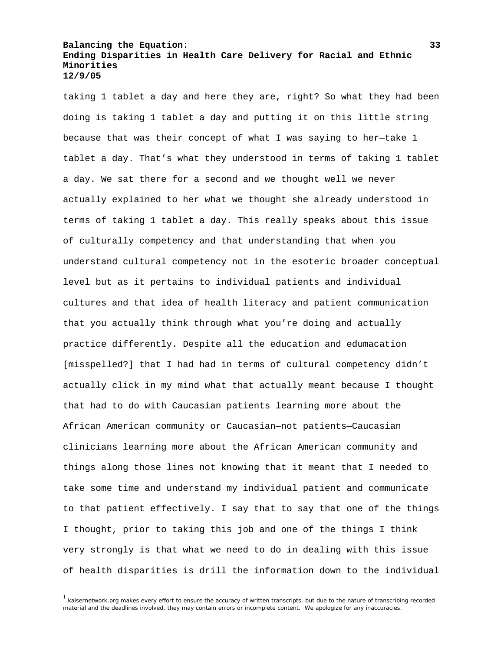taking 1 tablet a day and here they are, right? So what they had been doing is taking 1 tablet a day and putting it on this little string because that was their concept of what I was saying to her—take 1 tablet a day. That's what they understood in terms of taking 1 tablet a day. We sat there for a second and we thought well we never actually explained to her what we thought she already understood in terms of taking 1 tablet a day. This really speaks about this issue of culturally competency and that understanding that when you understand cultural competency not in the esoteric broader conceptual level but as it pertains to individual patients and individual cultures and that idea of health literacy and patient communication that you actually think through what you're doing and actually practice differently. Despite all the education and edumacation [misspelled?] that I had had in terms of cultural competency didn't actually click in my mind what that actually meant because I thought that had to do with Caucasian patients learning more about the African American community or Caucasian—not patients—Caucasian clinicians learning more about the African American community and things along those lines not knowing that it meant that I needed to take some time and understand my individual patient and communicate to that patient effectively. I say that to say that one of the things I thought, prior to taking this job and one of the things I think very strongly is that what we need to do in dealing with this issue of health disparities is drill the information down to the individual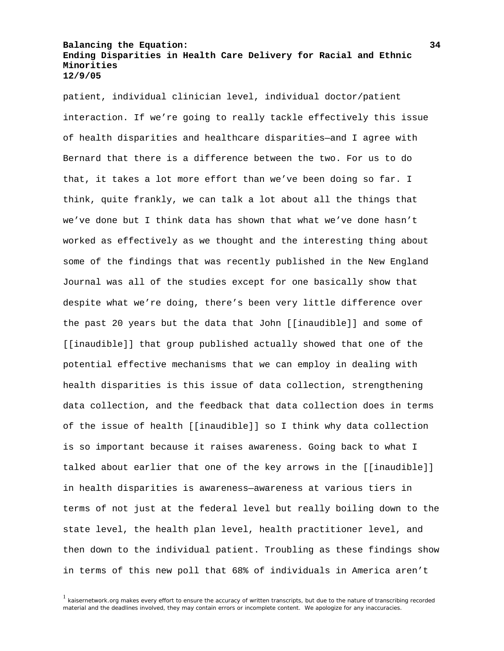patient, individual clinician level, individual doctor/patient interaction. If we're going to really tackle effectively this issue of health disparities and healthcare disparities—and I agree with Bernard that there is a difference between the two. For us to do that, it takes a lot more effort than we've been doing so far. I think, quite frankly, we can talk a lot about all the things that we've done but I think data has shown that what we've done hasn't worked as effectively as we thought and the interesting thing about some of the findings that was recently published in the New England Journal was all of the studies except for one basically show that despite what we're doing, there's been very little difference over the past 20 years but the data that John [[inaudible]] and some of [[inaudible]] that group published actually showed that one of the potential effective mechanisms that we can employ in dealing with health disparities is this issue of data collection, strengthening data collection, and the feedback that data collection does in terms of the issue of health [[inaudible]] so I think why data collection is so important because it raises awareness. Going back to what I talked about earlier that one of the key arrows in the [[inaudible]] in health disparities is awareness—awareness at various tiers in terms of not just at the federal level but really boiling down to the state level, the health plan level, health practitioner level, and then down to the individual patient. Troubling as these findings show in terms of this new poll that 68% of individuals in America aren't

<sup>&</sup>lt;sup>1</sup> kaisernetwork.org makes every effort to ensure the accuracy of written transcripts, but due to the nature of transcribing recorded material and the deadlines involved, they may contain errors or incomplete content. We apologize for any inaccuracies.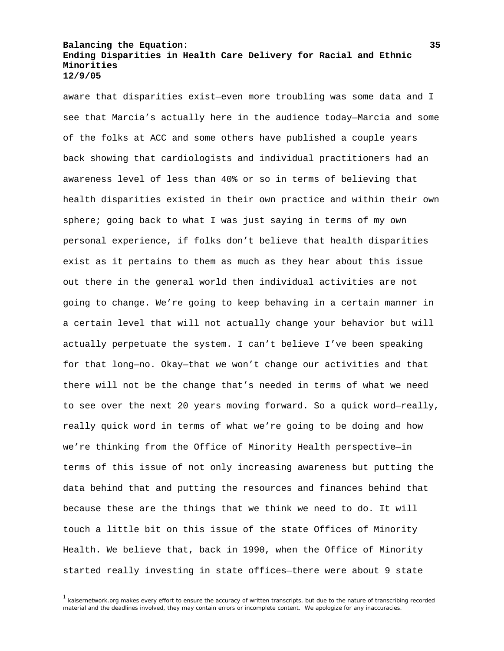aware that disparities exist—even more troubling was some data and I see that Marcia's actually here in the audience today—Marcia and some of the folks at ACC and some others have published a couple years back showing that cardiologists and individual practitioners had an awareness level of less than 40% or so in terms of believing that health disparities existed in their own practice and within their own sphere; going back to what I was just saying in terms of my own personal experience, if folks don't believe that health disparities exist as it pertains to them as much as they hear about this issue out there in the general world then individual activities are not going to change. We're going to keep behaving in a certain manner in a certain level that will not actually change your behavior but will actually perpetuate the system. I can't believe I've been speaking for that long—no. Okay—that we won't change our activities and that there will not be the change that's needed in terms of what we need to see over the next 20 years moving forward. So a quick word—really, really quick word in terms of what we're going to be doing and how we're thinking from the Office of Minority Health perspective—in terms of this issue of not only increasing awareness but putting the data behind that and putting the resources and finances behind that because these are the things that we think we need to do. It will touch a little bit on this issue of the state Offices of Minority Health. We believe that, back in 1990, when the Office of Minority started really investing in state offices—there were about 9 state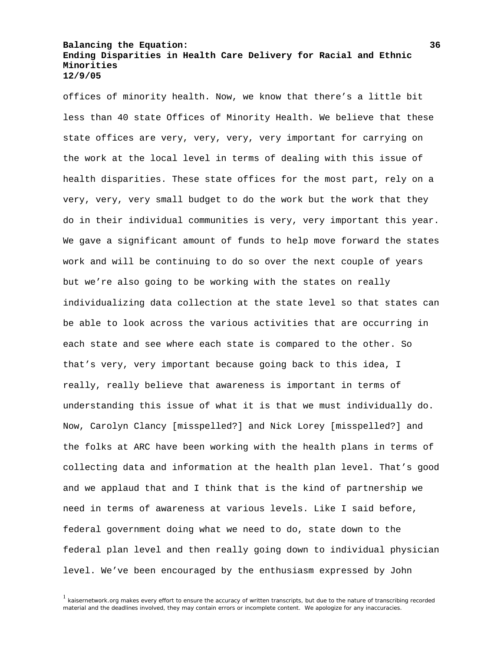offices of minority health. Now, we know that there's a little bit less than 40 state Offices of Minority Health. We believe that these state offices are very, very, very, very important for carrying on the work at the local level in terms of dealing with this issue of health disparities. These state offices for the most part, rely on a very, very, very small budget to do the work but the work that they do in their individual communities is very, very important this year. We gave a significant amount of funds to help move forward the states work and will be continuing to do so over the next couple of years but we're also going to be working with the states on really individualizing data collection at the state level so that states can be able to look across the various activities that are occurring in each state and see where each state is compared to the other. So that's very, very important because going back to this idea, I really, really believe that awareness is important in terms of understanding this issue of what it is that we must individually do. Now, Carolyn Clancy [misspelled?] and Nick Lorey [misspelled?] and the folks at ARC have been working with the health plans in terms of collecting data and information at the health plan level. That's good and we applaud that and I think that is the kind of partnership we need in terms of awareness at various levels. Like I said before, federal government doing what we need to do, state down to the federal plan level and then really going down to individual physician level. We've been encouraged by the enthusiasm expressed by John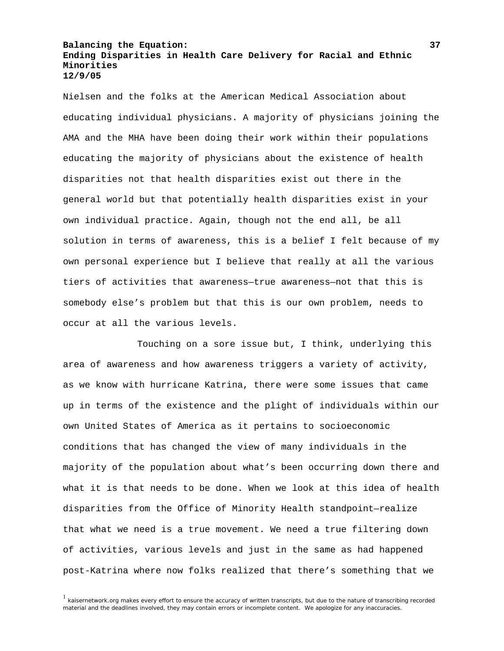Nielsen and the folks at the American Medical Association about educating individual physicians. A majority of physicians joining the AMA and the MHA have been doing their work within their populations educating the majority of physicians about the existence of health disparities not that health disparities exist out there in the general world but that potentially health disparities exist in your own individual practice. Again, though not the end all, be all solution in terms of awareness, this is a belief I felt because of my own personal experience but I believe that really at all the various tiers of activities that awareness—true awareness—not that this is somebody else's problem but that this is our own problem, needs to occur at all the various levels.

 Touching on a sore issue but, I think, underlying this area of awareness and how awareness triggers a variety of activity, as we know with hurricane Katrina, there were some issues that came up in terms of the existence and the plight of individuals within our own United States of America as it pertains to socioeconomic conditions that has changed the view of many individuals in the majority of the population about what's been occurring down there and what it is that needs to be done. When we look at this idea of health disparities from the Office of Minority Health standpoint—realize that what we need is a true movement. We need a true filtering down of activities, various levels and just in the same as had happened post-Katrina where now folks realized that there's something that we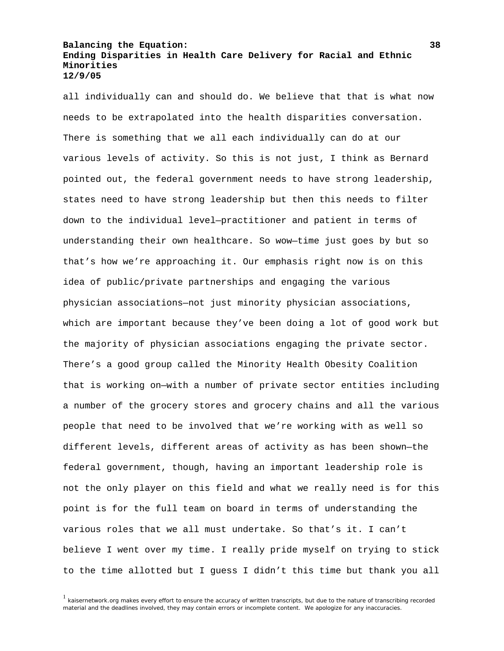all individually can and should do. We believe that that is what now needs to be extrapolated into the health disparities conversation. There is something that we all each individually can do at our various levels of activity. So this is not just, I think as Bernard pointed out, the federal government needs to have strong leadership, states need to have strong leadership but then this needs to filter down to the individual level—practitioner and patient in terms of understanding their own healthcare. So wow—time just goes by but so that's how we're approaching it. Our emphasis right now is on this idea of public/private partnerships and engaging the various physician associations—not just minority physician associations, which are important because they've been doing a lot of good work but the majority of physician associations engaging the private sector. There's a good group called the Minority Health Obesity Coalition that is working on—with a number of private sector entities including a number of the grocery stores and grocery chains and all the various people that need to be involved that we're working with as well so different levels, different areas of activity as has been shown—the federal government, though, having an important leadership role is not the only player on this field and what we really need is for this point is for the full team on board in terms of understanding the various roles that we all must undertake. So that's it. I can't believe I went over my time. I really pride myself on trying to stick to the time allotted but I guess I didn't this time but thank you all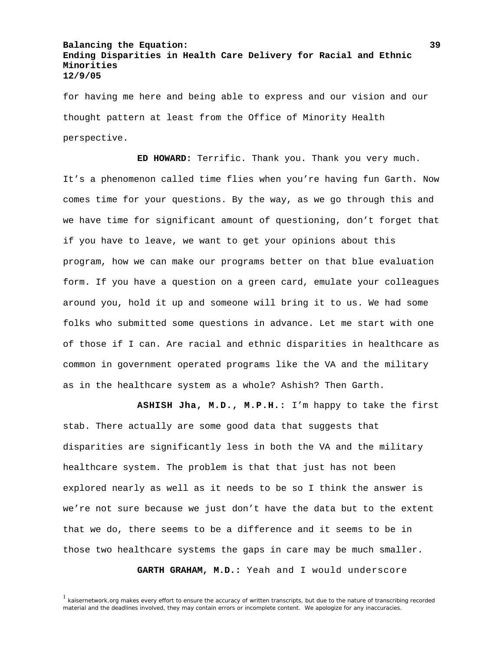for having me here and being able to express and our vision and our thought pattern at least from the Office of Minority Health perspective.

 **ED HOWARD:** Terrific. Thank you. Thank you very much. It's a phenomenon called time flies when you're having fun Garth. Now comes time for your questions. By the way, as we go through this and we have time for significant amount of questioning, don't forget that if you have to leave, we want to get your opinions about this program, how we can make our programs better on that blue evaluation form. If you have a question on a green card, emulate your colleagues around you, hold it up and someone will bring it to us. We had some folks who submitted some questions in advance. Let me start with one of those if I can. Are racial and ethnic disparities in healthcare as common in government operated programs like the VA and the military as in the healthcare system as a whole? Ashish? Then Garth.

 **ASHISH Jha, M.D., M.P.H.:** I'm happy to take the first stab. There actually are some good data that suggests that disparities are significantly less in both the VA and the military healthcare system. The problem is that that just has not been explored nearly as well as it needs to be so I think the answer is we're not sure because we just don't have the data but to the extent that we do, there seems to be a difference and it seems to be in those two healthcare systems the gaps in care may be much smaller.

**GARTH GRAHAM, M.D.:** Yeah and I would underscore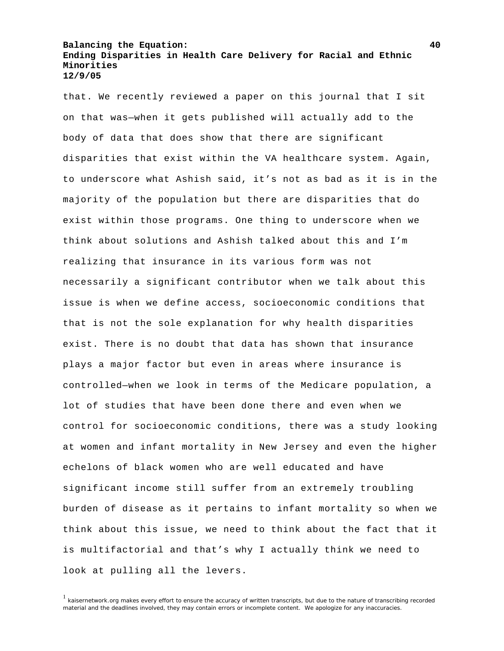that. We recently reviewed a paper on this journal that I sit on that was—when it gets published will actually add to the body of data that does show that there are significant disparities that exist within the VA healthcare system. Again, to underscore what Ashish said, it's not as bad as it is in the majority of the population but there are disparities that do exist within those programs. One thing to underscore when we think about solutions and Ashish talked about this and I'm realizing that insurance in its various form was not necessarily a significant contributor when we talk about this issue is when we define access, socioeconomic conditions that that is not the sole explanation for why health disparities exist. There is no doubt that data has shown that insurance plays a major factor but even in areas where insurance is controlled—when we look in terms of the Medicare population, a lot of studies that have been done there and even when we control for socioeconomic conditions, there was a study looking at women and infant mortality in New Jersey and even the higher echelons of black women who are well educated and have significant income still suffer from an extremely troubling burden of disease as it pertains to infant mortality so when we think about this issue, we need to think about the fact that it is multifactorial and that's why I actually think we need to look at pulling all the levers.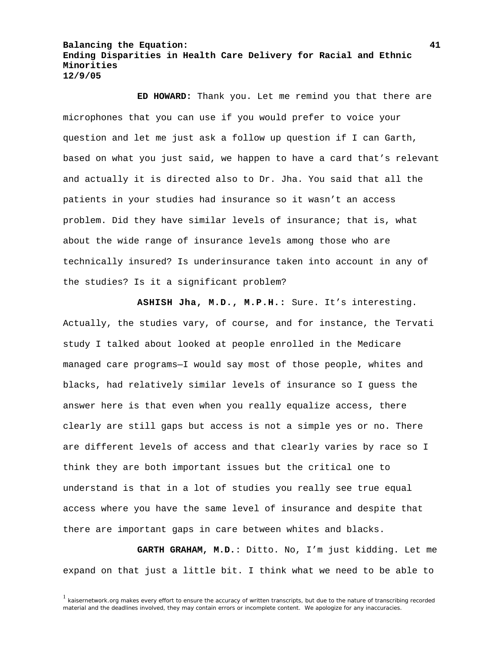**ED HOWARD:** Thank you. Let me remind you that there are microphones that you can use if you would prefer to voice your question and let me just ask a follow up question if I can Garth, based on what you just said, we happen to have a card that's relevant and actually it is directed also to Dr. Jha. You said that all the patients in your studies had insurance so it wasn't an access problem. Did they have similar levels of insurance; that is, what about the wide range of insurance levels among those who are technically insured? Is underinsurance taken into account in any of the studies? Is it a significant problem?

 **ASHISH Jha, M.D., M.P.H.:** Sure. It's interesting. Actually, the studies vary, of course, and for instance, the Tervati study I talked about looked at people enrolled in the Medicare managed care programs—I would say most of those people, whites and blacks, had relatively similar levels of insurance so I guess the answer here is that even when you really equalize access, there clearly are still gaps but access is not a simple yes or no. There are different levels of access and that clearly varies by race so I think they are both important issues but the critical one to understand is that in a lot of studies you really see true equal access where you have the same level of insurance and despite that there are important gaps in care between whites and blacks.

 **GARTH GRAHAM, M.D.**: Ditto. No, I'm just kidding. Let me expand on that just a little bit. I think what we need to be able to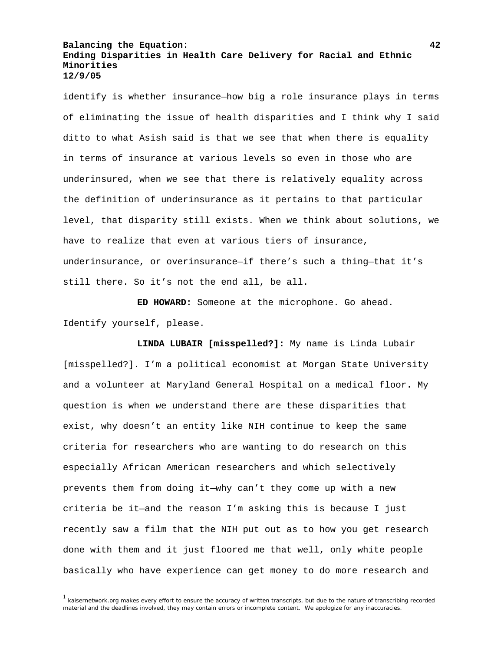identify is whether insurance—how big a role insurance plays in terms of eliminating the issue of health disparities and I think why I said ditto to what Asish said is that we see that when there is equality in terms of insurance at various levels so even in those who are underinsured, when we see that there is relatively equality across the definition of underinsurance as it pertains to that particular level, that disparity still exists. When we think about solutions, we have to realize that even at various tiers of insurance, underinsurance, or overinsurance—if there's such a thing—that it's still there. So it's not the end all, be all.

 **ED HOWARD:** Someone at the microphone. Go ahead. Identify yourself, please.

 **LINDA LUBAIR [misspelled?]:** My name is Linda Lubair [misspelled?]. I'm a political economist at Morgan State University and a volunteer at Maryland General Hospital on a medical floor. My question is when we understand there are these disparities that exist, why doesn't an entity like NIH continue to keep the same criteria for researchers who are wanting to do research on this especially African American researchers and which selectively prevents them from doing it—why can't they come up with a new criteria be it—and the reason I'm asking this is because I just recently saw a film that the NIH put out as to how you get research done with them and it just floored me that well, only white people basically who have experience can get money to do more research and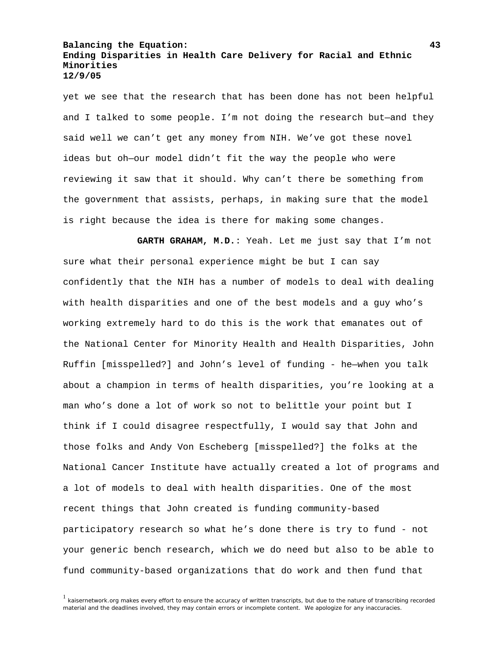yet we see that the research that has been done has not been helpful and I talked to some people. I'm not doing the research but—and they said well we can't get any money from NIH. We've got these novel ideas but oh—our model didn't fit the way the people who were reviewing it saw that it should. Why can't there be something from the government that assists, perhaps, in making sure that the model is right because the idea is there for making some changes.

 **GARTH GRAHAM, M.D.**: Yeah. Let me just say that I'm not sure what their personal experience might be but I can say confidently that the NIH has a number of models to deal with dealing with health disparities and one of the best models and a guy who's working extremely hard to do this is the work that emanates out of the National Center for Minority Health and Health Disparities, John Ruffin [misspelled?] and John's level of funding - he—when you talk about a champion in terms of health disparities, you're looking at a man who's done a lot of work so not to belittle your point but I think if I could disagree respectfully, I would say that John and those folks and Andy Von Escheberg [misspelled?] the folks at the National Cancer Institute have actually created a lot of programs and a lot of models to deal with health disparities. One of the most recent things that John created is funding community-based participatory research so what he's done there is try to fund - not your generic bench research, which we do need but also to be able to fund community-based organizations that do work and then fund that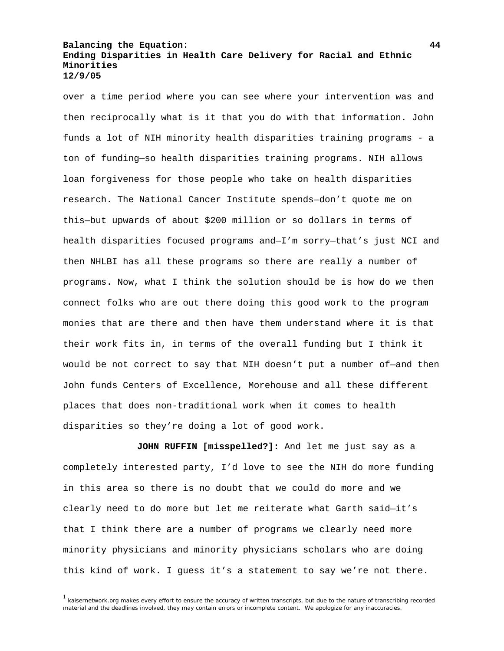over a time period where you can see where your intervention was and then reciprocally what is it that you do with that information. John funds a lot of NIH minority health disparities training programs - a ton of funding—so health disparities training programs. NIH allows loan forgiveness for those people who take on health disparities research. The National Cancer Institute spends—don't quote me on this—but upwards of about \$200 million or so dollars in terms of health disparities focused programs and—I'm sorry—that's just NCI and then NHLBI has all these programs so there are really a number of programs. Now, what I think the solution should be is how do we then connect folks who are out there doing this good work to the program monies that are there and then have them understand where it is that their work fits in, in terms of the overall funding but I think it would be not correct to say that NIH doesn't put a number of—and then John funds Centers of Excellence, Morehouse and all these different places that does non-traditional work when it comes to health disparities so they're doing a lot of good work.

 **JOHN RUFFIN [misspelled?]:** And let me just say as a completely interested party, I'd love to see the NIH do more funding in this area so there is no doubt that we could do more and we clearly need to do more but let me reiterate what Garth said—it's that I think there are a number of programs we clearly need more minority physicians and minority physicians scholars who are doing this kind of work. I guess it's a statement to say we're not there.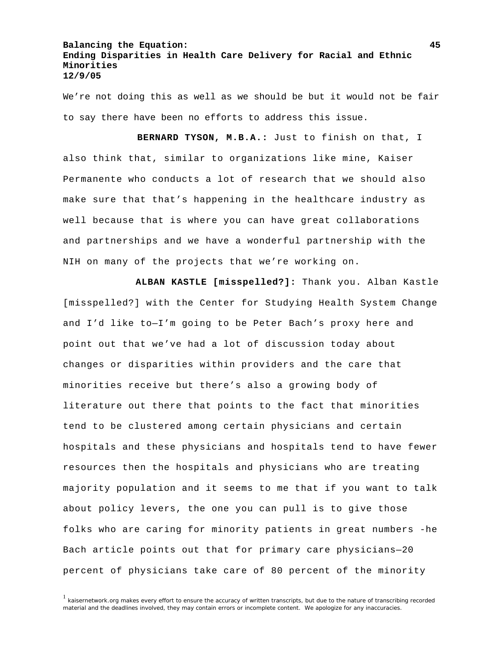We're not doing this as well as we should be but it would not be fair to say there have been no efforts to address this issue.

 **BERNARD TYSON, M.B.A.:** Just to finish on that, I also think that, similar to organizations like mine, Kaiser Permanente who conducts a lot of research that we should also make sure that that's happening in the healthcare industry as well because that is where you can have great collaborations and partnerships and we have a wonderful partnership with the NIH on many of the projects that we're working on.

 **ALBAN KASTLE [misspelled?]:** Thank you. Alban Kastle [misspelled?] with the Center for Studying Health System Change and I'd like to—I'm going to be Peter Bach's proxy here and point out that we've had a lot of discussion today about changes or disparities within providers and the care that minorities receive but there's also a growing body of literature out there that points to the fact that minorities tend to be clustered among certain physicians and certain hospitals and these physicians and hospitals tend to have fewer resources then the hospitals and physicians who are treating majority population and it seems to me that if you want to talk about policy levers, the one you can pull is to give those folks who are caring for minority patients in great numbers -he Bach article points out that for primary care physicians—20 percent of physicians take care of 80 percent of the minority

<sup>&</sup>lt;sup>1</sup> kaisernetwork.org makes every effort to ensure the accuracy of written transcripts, but due to the nature of transcribing recorded material and the deadlines involved, they may contain errors or incomplete content. We apologize for any inaccuracies.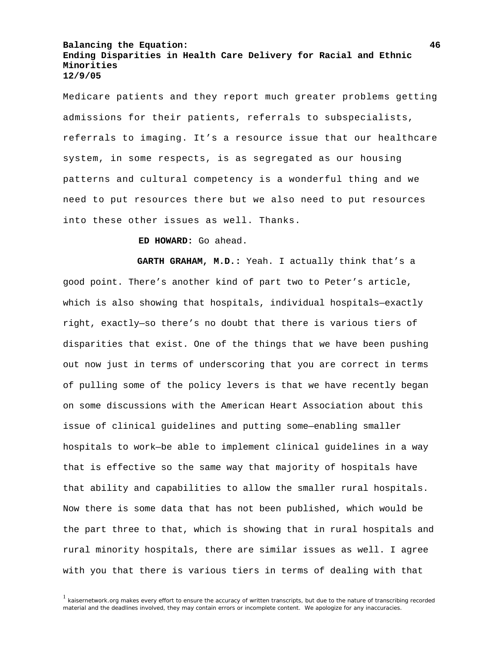Medicare patients and they report much greater problems getting admissions for their patients, referrals to subspecialists, referrals to imaging. It's a resource issue that our healthcare system, in some respects, is as segregated as our housing patterns and cultural competency is a wonderful thing and we need to put resources there but we also need to put resources into these other issues as well. Thanks.

 **ED HOWARD:** Go ahead.

 **GARTH GRAHAM, M.D.:** Yeah. I actually think that's a good point. There's another kind of part two to Peter's article, which is also showing that hospitals, individual hospitals—exactly right, exactly—so there's no doubt that there is various tiers of disparities that exist. One of the things that we have been pushing out now just in terms of underscoring that you are correct in terms of pulling some of the policy levers is that we have recently began on some discussions with the American Heart Association about this issue of clinical guidelines and putting some—enabling smaller hospitals to work—be able to implement clinical guidelines in a way that is effective so the same way that majority of hospitals have that ability and capabilities to allow the smaller rural hospitals. Now there is some data that has not been published, which would be the part three to that, which is showing that in rural hospitals and rural minority hospitals, there are similar issues as well. I agree with you that there is various tiers in terms of dealing with that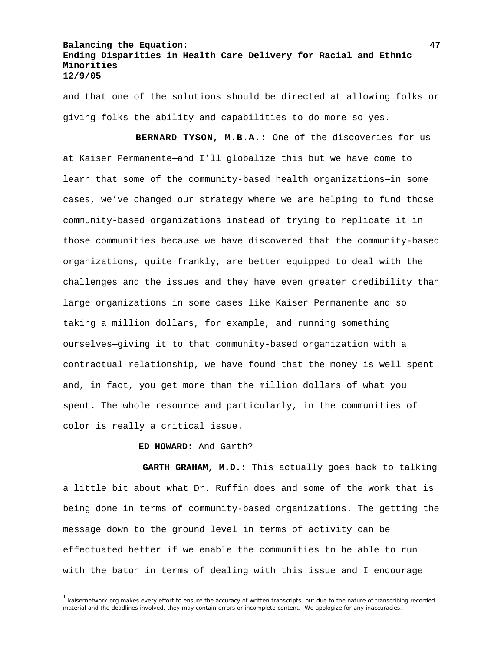and that one of the solutions should be directed at allowing folks or giving folks the ability and capabilities to do more so yes.

 **BERNARD TYSON, M.B.A.:** One of the discoveries for us at Kaiser Permanente—and I'll globalize this but we have come to learn that some of the community-based health organizations—in some cases, we've changed our strategy where we are helping to fund those community-based organizations instead of trying to replicate it in those communities because we have discovered that the community-based organizations, quite frankly, are better equipped to deal with the challenges and the issues and they have even greater credibility than large organizations in some cases like Kaiser Permanente and so taking a million dollars, for example, and running something ourselves—giving it to that community-based organization with a contractual relationship, we have found that the money is well spent and, in fact, you get more than the million dollars of what you spent. The whole resource and particularly, in the communities of color is really a critical issue.

**ED HOWARD:** And Garth?

 **GARTH GRAHAM, M.D.:** This actually goes back to talking a little bit about what Dr. Ruffin does and some of the work that is being done in terms of community-based organizations. The getting the message down to the ground level in terms of activity can be effectuated better if we enable the communities to be able to run with the baton in terms of dealing with this issue and I encourage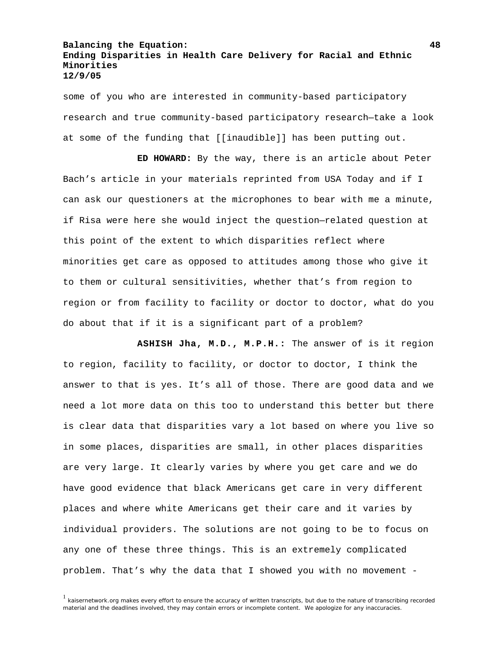some of you who are interested in community-based participatory research and true community-based participatory research—take a look at some of the funding that [[inaudible]] has been putting out.

 **ED HOWARD:** By the way, there is an article about Peter Bach's article in your materials reprinted from USA Today and if I can ask our questioners at the microphones to bear with me a minute, if Risa were here she would inject the question—related question at this point of the extent to which disparities reflect where minorities get care as opposed to attitudes among those who give it to them or cultural sensitivities, whether that's from region to region or from facility to facility or doctor to doctor, what do you do about that if it is a significant part of a problem?

 **ASHISH Jha, M.D., M.P.H.:** The answer of is it region to region, facility to facility, or doctor to doctor, I think the answer to that is yes. It's all of those. There are good data and we need a lot more data on this too to understand this better but there is clear data that disparities vary a lot based on where you live so in some places, disparities are small, in other places disparities are very large. It clearly varies by where you get care and we do have good evidence that black Americans get care in very different places and where white Americans get their care and it varies by individual providers. The solutions are not going to be to focus on any one of these three things. This is an extremely complicated problem. That's why the data that I showed you with no movement -

<sup>&</sup>lt;sup>1</sup> kaisernetwork.org makes every effort to ensure the accuracy of written transcripts, but due to the nature of transcribing recorded material and the deadlines involved, they may contain errors or incomplete content. We apologize for any inaccuracies.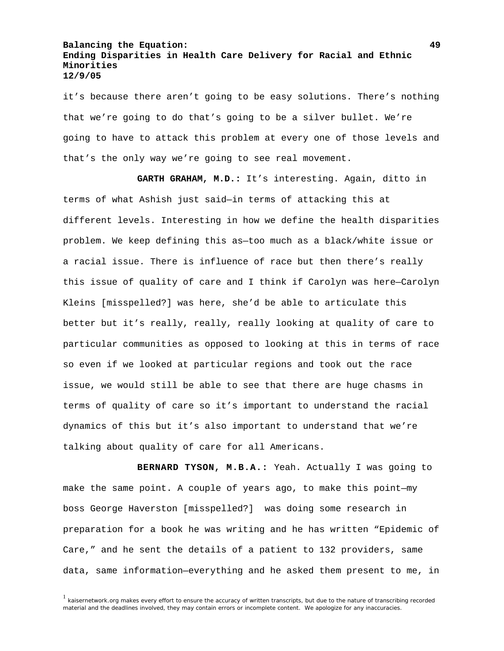it's because there aren't going to be easy solutions. There's nothing that we're going to do that's going to be a silver bullet. We're going to have to attack this problem at every one of those levels and that's the only way we're going to see real movement.

 **GARTH GRAHAM, M.D.:** It's interesting. Again, ditto in terms of what Ashish just said—in terms of attacking this at different levels. Interesting in how we define the health disparities problem. We keep defining this as—too much as a black/white issue or a racial issue. There is influence of race but then there's really this issue of quality of care and I think if Carolyn was here—Carolyn Kleins [misspelled?] was here, she'd be able to articulate this better but it's really, really, really looking at quality of care to particular communities as opposed to looking at this in terms of race so even if we looked at particular regions and took out the race issue, we would still be able to see that there are huge chasms in terms of quality of care so it's important to understand the racial dynamics of this but it's also important to understand that we're talking about quality of care for all Americans.

 **BERNARD TYSON, M.B.A.:** Yeah. Actually I was going to make the same point. A couple of years ago, to make this point—my boss George Haverston [misspelled?] was doing some research in preparation for a book he was writing and he has written "Epidemic of Care," and he sent the details of a patient to 132 providers, same data, same information—everything and he asked them present to me, in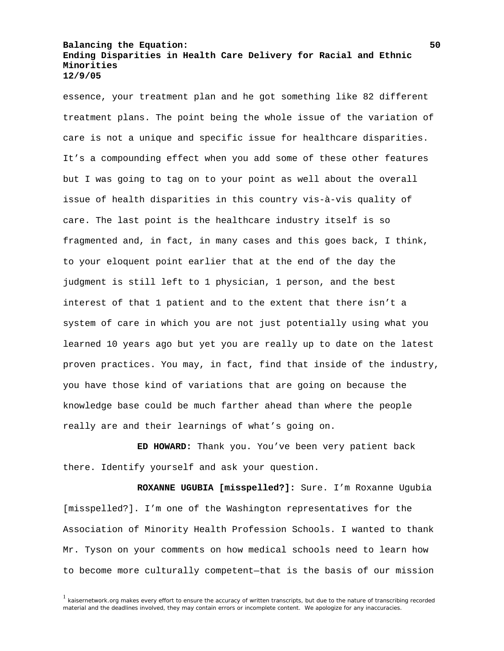essence, your treatment plan and he got something like 82 different treatment plans. The point being the whole issue of the variation of care is not a unique and specific issue for healthcare disparities. It's a compounding effect when you add some of these other features but I was going to tag on to your point as well about the overall issue of health disparities in this country vis-à-vis quality of care. The last point is the healthcare industry itself is so fragmented and, in fact, in many cases and this goes back, I think, to your eloquent point earlier that at the end of the day the judgment is still left to 1 physician, 1 person, and the best interest of that 1 patient and to the extent that there isn't a system of care in which you are not just potentially using what you learned 10 years ago but yet you are really up to date on the latest proven practices. You may, in fact, find that inside of the industry, you have those kind of variations that are going on because the knowledge base could be much farther ahead than where the people really are and their learnings of what's going on.

 **ED HOWARD:** Thank you. You've been very patient back there. Identify yourself and ask your question.

 **ROXANNE UGUBIA [misspelled?]:** Sure. I'm Roxanne Ugubia [misspelled?]. I'm one of the Washington representatives for the Association of Minority Health Profession Schools. I wanted to thank Mr. Tyson on your comments on how medical schools need to learn how to become more culturally competent—that is the basis of our mission

<sup>&</sup>lt;sup>1</sup> kaisernetwork.org makes every effort to ensure the accuracy of written transcripts, but due to the nature of transcribing recorded material and the deadlines involved, they may contain errors or incomplete content. We apologize for any inaccuracies.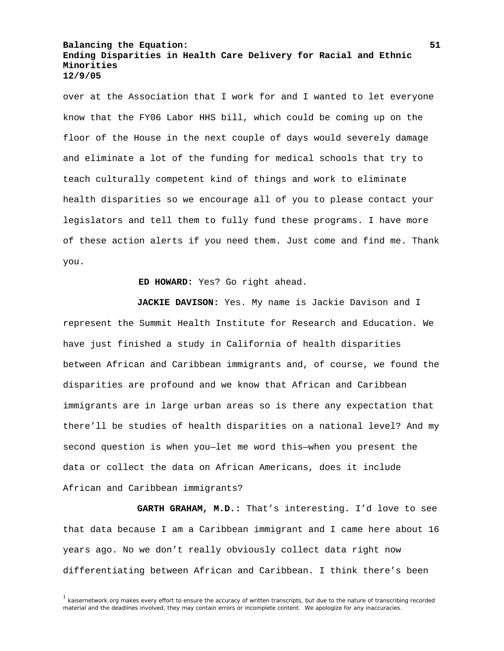over at the Association that I work for and I wanted to let everyone know that the FY06 Labor HHS bill, which could be coming up on the floor of the House in the next couple of days would severely damage and eliminate a lot of the funding for medical schools that try to teach culturally competent kind of things and work to eliminate health disparities so we encourage all of you to please contact your legislators and tell them to fully fund these programs. I have more of these action alerts if you need them. Just come and find me. Thank you.

**ED HOWARD:** Yes? Go right ahead.

 **JACKIE DAVISON:** Yes. My name is Jackie Davison and I represent the Summit Health Institute for Research and Education. We have just finished a study in California of health disparities between African and Caribbean immigrants and, of course, we found the disparities are profound and we know that African and Caribbean immigrants are in large urban areas so is there any expectation that there'll be studies of health disparities on a national level? And my second question is when you—let me word this—when you present the data or collect the data on African Americans, does it include African and Caribbean immigrants?

 **GARTH GRAHAM, M.D.:** That's interesting. I'd love to see that data because I am a Caribbean immigrant and I came here about 16 years ago. No we don't really obviously collect data right now differentiating between African and Caribbean. I think there's been

<sup>&</sup>lt;sup>1</sup> kaisernetwork.org makes every effort to ensure the accuracy of written transcripts, but due to the nature of transcribing recorded material and the deadlines involved, they may contain errors or incomplete content. We apologize for any inaccuracies.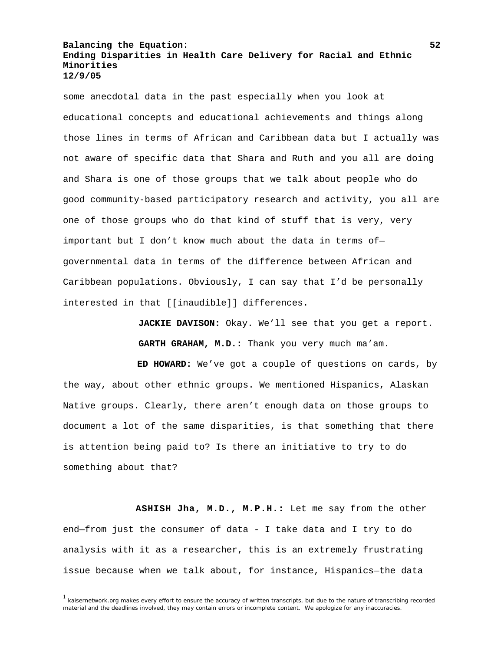some anecdotal data in the past especially when you look at educational concepts and educational achievements and things along those lines in terms of African and Caribbean data but I actually was not aware of specific data that Shara and Ruth and you all are doing and Shara is one of those groups that we talk about people who do good community-based participatory research and activity, you all are one of those groups who do that kind of stuff that is very, very important but I don't know much about the data in terms of governmental data in terms of the difference between African and Caribbean populations. Obviously, I can say that I'd be personally interested in that [[inaudible]] differences.

> **JACKIE DAVISON:** Okay. We'll see that you get a report. **GARTH GRAHAM, M.D.:** Thank you very much ma'am.

 **ED HOWARD:** We've got a couple of questions on cards, by the way, about other ethnic groups. We mentioned Hispanics, Alaskan Native groups. Clearly, there aren't enough data on those groups to document a lot of the same disparities, is that something that there is attention being paid to? Is there an initiative to try to do something about that?

 **ASHISH Jha, M.D., M.P.H.:** Let me say from the other end—from just the consumer of data - I take data and I try to do analysis with it as a researcher, this is an extremely frustrating issue because when we talk about, for instance, Hispanics—the data

<sup>&</sup>lt;sup>1</sup> kaisernetwork.org makes every effort to ensure the accuracy of written transcripts, but due to the nature of transcribing recorded material and the deadlines involved, they may contain errors or incomplete content. We apologize for any inaccuracies.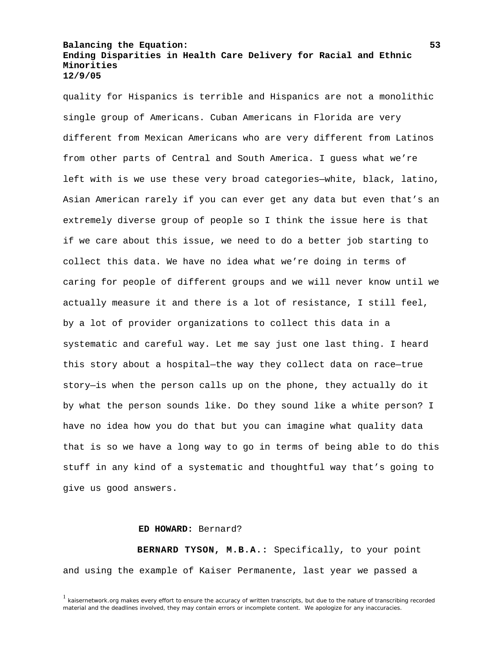quality for Hispanics is terrible and Hispanics are not a monolithic single group of Americans. Cuban Americans in Florida are very different from Mexican Americans who are very different from Latinos from other parts of Central and South America. I guess what we're left with is we use these very broad categories—white, black, latino, Asian American rarely if you can ever get any data but even that's an extremely diverse group of people so I think the issue here is that if we care about this issue, we need to do a better job starting to collect this data. We have no idea what we're doing in terms of caring for people of different groups and we will never know until we actually measure it and there is a lot of resistance, I still feel, by a lot of provider organizations to collect this data in a systematic and careful way. Let me say just one last thing. I heard this story about a hospital—the way they collect data on race—true story—is when the person calls up on the phone, they actually do it by what the person sounds like. Do they sound like a white person? I have no idea how you do that but you can imagine what quality data that is so we have a long way to go in terms of being able to do this stuff in any kind of a systematic and thoughtful way that's going to give us good answers.

### **ED HOWARD:** Bernard?

 **BERNARD TYSON, M.B.A.:** Specifically, to your point and using the example of Kaiser Permanente, last year we passed a

 $<sup>1</sup>$  kaisernetwork.org makes every effort to ensure the accuracy of written transcripts, but due to the nature of transcribing recorded</sup> material and the deadlines involved, they may contain errors or incomplete content. We apologize for any inaccuracies.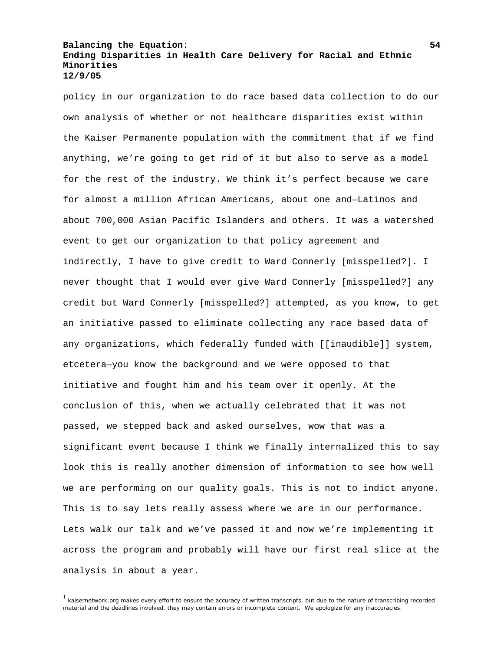policy in our organization to do race based data collection to do our own analysis of whether or not healthcare disparities exist within the Kaiser Permanente population with the commitment that if we find anything, we're going to get rid of it but also to serve as a model for the rest of the industry. We think it's perfect because we care for almost a million African Americans, about one and—Latinos and about 700,000 Asian Pacific Islanders and others. It was a watershed event to get our organization to that policy agreement and indirectly, I have to give credit to Ward Connerly [misspelled?]. I never thought that I would ever give Ward Connerly [misspelled?] any credit but Ward Connerly [misspelled?] attempted, as you know, to get an initiative passed to eliminate collecting any race based data of any organizations, which federally funded with [[inaudible]] system, etcetera—you know the background and we were opposed to that initiative and fought him and his team over it openly. At the conclusion of this, when we actually celebrated that it was not passed, we stepped back and asked ourselves, wow that was a significant event because I think we finally internalized this to say look this is really another dimension of information to see how well we are performing on our quality goals. This is not to indict anyone. This is to say lets really assess where we are in our performance. Lets walk our talk and we've passed it and now we're implementing it across the program and probably will have our first real slice at the analysis in about a year.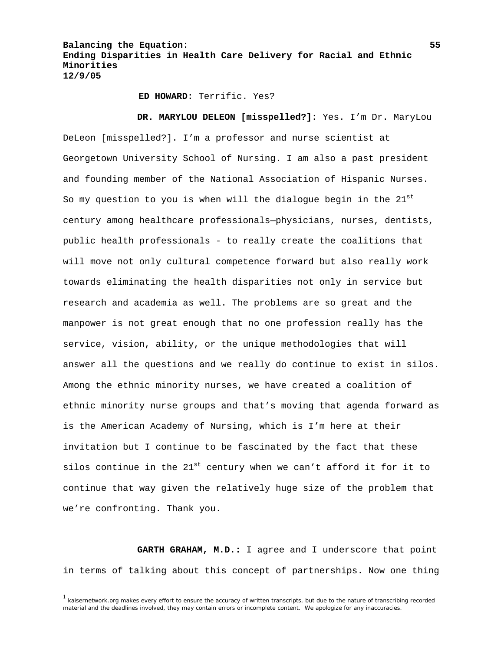**ED HOWARD:** Terrific. Yes?

 **DR. MARYLOU DELEON [misspelled?]:** Yes. I'm Dr. MaryLou DeLeon [misspelled?]. I'm a professor and nurse scientist at Georgetown University School of Nursing. I am also a past president and founding member of the National Association of Hispanic Nurses. So my question to you is when will the dialogue begin in the  $21^{st}$ century among healthcare professionals—physicians, nurses, dentists, public health professionals - to really create the coalitions that will move not only cultural competence forward but also really work towards eliminating the health disparities not only in service but research and academia as well. The problems are so great and the manpower is not great enough that no one profession really has the service, vision, ability, or the unique methodologies that will answer all the questions and we really do continue to exist in silos. Among the ethnic minority nurses, we have created a coalition of ethnic minority nurse groups and that's moving that agenda forward as is the American Academy of Nursing, which is I'm here at their invitation but I continue to be fascinated by the fact that these silos continue in the  $21^{st}$  century when we can't afford it for it to continue that way given the relatively huge size of the problem that we're confronting. Thank you.

 **GARTH GRAHAM, M.D.:** I agree and I underscore that point in terms of talking about this concept of partnerships. Now one thing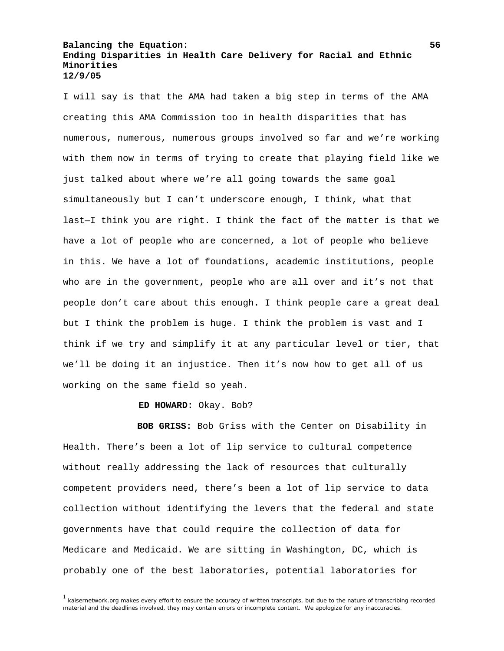I will say is that the AMA had taken a big step in terms of the AMA creating this AMA Commission too in health disparities that has numerous, numerous, numerous groups involved so far and we're working with them now in terms of trying to create that playing field like we just talked about where we're all going towards the same goal simultaneously but I can't underscore enough, I think, what that last—I think you are right. I think the fact of the matter is that we have a lot of people who are concerned, a lot of people who believe in this. We have a lot of foundations, academic institutions, people who are in the government, people who are all over and it's not that people don't care about this enough. I think people care a great deal but I think the problem is huge. I think the problem is vast and I think if we try and simplify it at any particular level or tier, that we'll be doing it an injustice. Then it's now how to get all of us working on the same field so yeah.

**ED HOWARD:** Okay. Bob?

 **BOB GRISS:** Bob Griss with the Center on Disability in Health. There's been a lot of lip service to cultural competence without really addressing the lack of resources that culturally competent providers need, there's been a lot of lip service to data collection without identifying the levers that the federal and state governments have that could require the collection of data for Medicare and Medicaid. We are sitting in Washington, DC, which is probably one of the best laboratories, potential laboratories for

<sup>&</sup>lt;sup>1</sup> kaisernetwork.org makes every effort to ensure the accuracy of written transcripts, but due to the nature of transcribing recorded material and the deadlines involved, they may contain errors or incomplete content. We apologize for any inaccuracies.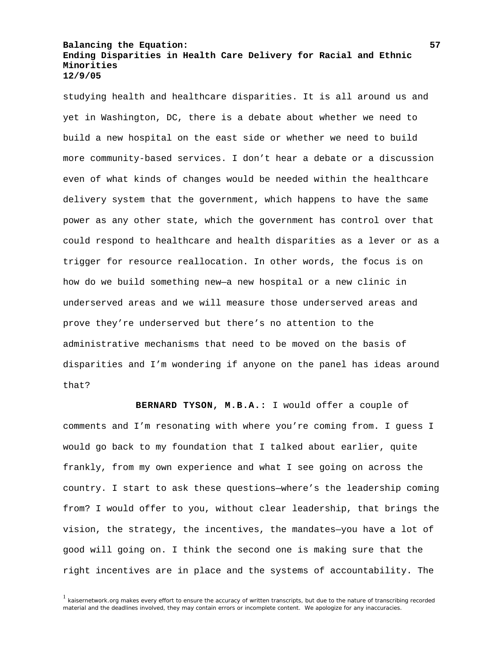studying health and healthcare disparities. It is all around us and yet in Washington, DC, there is a debate about whether we need to build a new hospital on the east side or whether we need to build more community-based services. I don't hear a debate or a discussion even of what kinds of changes would be needed within the healthcare delivery system that the government, which happens to have the same power as any other state, which the government has control over that could respond to healthcare and health disparities as a lever or as a trigger for resource reallocation. In other words, the focus is on how do we build something new—a new hospital or a new clinic in underserved areas and we will measure those underserved areas and prove they're underserved but there's no attention to the administrative mechanisms that need to be moved on the basis of disparities and I'm wondering if anyone on the panel has ideas around that?

 **BERNARD TYSON, M.B.A.:** I would offer a couple of comments and I'm resonating with where you're coming from. I guess I would go back to my foundation that I talked about earlier, quite frankly, from my own experience and what I see going on across the country. I start to ask these questions—where's the leadership coming from? I would offer to you, without clear leadership, that brings the vision, the strategy, the incentives, the mandates—you have a lot of good will going on. I think the second one is making sure that the right incentives are in place and the systems of accountability. The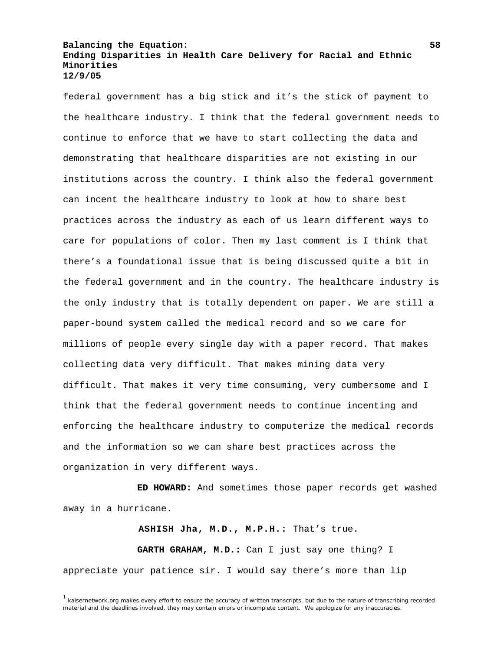federal government has a big stick and it's the stick of payment to the healthcare industry. I think that the federal government needs to continue to enforce that we have to start collecting the data and demonstrating that healthcare disparities are not existing in our institutions across the country. I think also the federal government can incent the healthcare industry to look at how to share best practices across the industry as each of us learn different ways to care for populations of color. Then my last comment is I think that there's a foundational issue that is being discussed quite a bit in the federal government and in the country. The healthcare industry is the only industry that is totally dependent on paper. We are still a paper-bound system called the medical record and so we care for millions of people every single day with a paper record. That makes collecting data very difficult. That makes mining data very difficult. That makes it very time consuming, very cumbersome and I think that the federal government needs to continue incenting and enforcing the healthcare industry to computerize the medical records and the information so we can share best practices across the organization in very different ways.

 **ED HOWARD:** And sometimes those paper records get washed away in a hurricane.

**ASHISH Jha, M.D., M.P.H.:** That's true.  **GARTH GRAHAM, M.D.:** Can I just say one thing? I appreciate your patience sir. I would say there's more than lip

 $1$  kaisernetwork.org makes every effort to ensure the accuracy of written transcripts, but due to the nature of transcribing recorded material and the deadlines involved, they may contain errors or incomplete content. We apologize for any inaccuracies.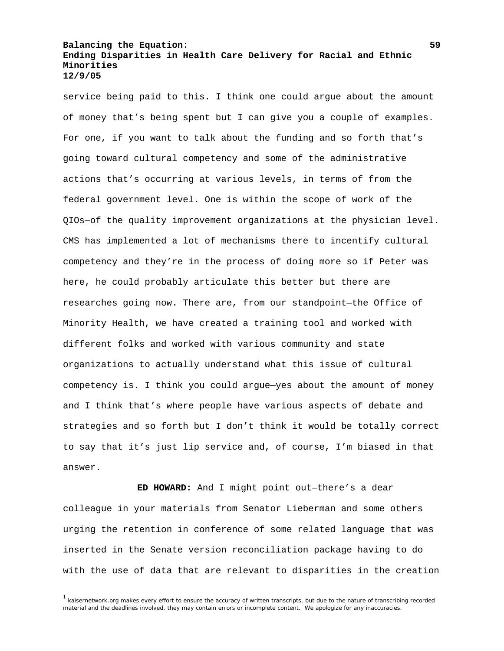service being paid to this. I think one could argue about the amount of money that's being spent but I can give you a couple of examples. For one, if you want to talk about the funding and so forth that's going toward cultural competency and some of the administrative actions that's occurring at various levels, in terms of from the federal government level. One is within the scope of work of the QIOs—of the quality improvement organizations at the physician level. CMS has implemented a lot of mechanisms there to incentify cultural competency and they're in the process of doing more so if Peter was here, he could probably articulate this better but there are researches going now. There are, from our standpoint—the Office of Minority Health, we have created a training tool and worked with different folks and worked with various community and state organizations to actually understand what this issue of cultural competency is. I think you could argue—yes about the amount of money and I think that's where people have various aspects of debate and strategies and so forth but I don't think it would be totally correct to say that it's just lip service and, of course, I'm biased in that answer.

 **ED HOWARD:** And I might point out—there's a dear colleague in your materials from Senator Lieberman and some others urging the retention in conference of some related language that was inserted in the Senate version reconciliation package having to do with the use of data that are relevant to disparities in the creation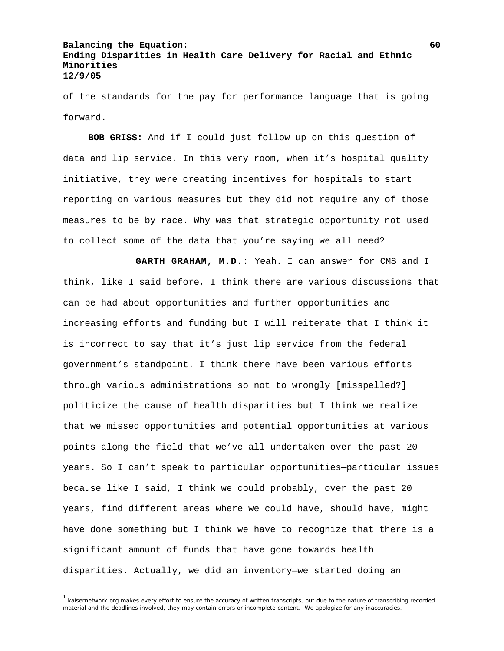of the standards for the pay for performance language that is going forward.

**BOB GRISS:** And if I could just follow up on this question of data and lip service. In this very room, when it's hospital quality initiative, they were creating incentives for hospitals to start reporting on various measures but they did not require any of those measures to be by race. Why was that strategic opportunity not used to collect some of the data that you're saying we all need?

 **GARTH GRAHAM, M.D.:** Yeah. I can answer for CMS and I think, like I said before, I think there are various discussions that can be had about opportunities and further opportunities and increasing efforts and funding but I will reiterate that I think it is incorrect to say that it's just lip service from the federal government's standpoint. I think there have been various efforts through various administrations so not to wrongly [misspelled?] politicize the cause of health disparities but I think we realize that we missed opportunities and potential opportunities at various points along the field that we've all undertaken over the past 20 years. So I can't speak to particular opportunities—particular issues because like I said, I think we could probably, over the past 20 years, find different areas where we could have, should have, might have done something but I think we have to recognize that there is a significant amount of funds that have gone towards health disparities. Actually, we did an inventory—we started doing an

<sup>&</sup>lt;sup>1</sup> kaisernetwork.org makes every effort to ensure the accuracy of written transcripts, but due to the nature of transcribing recorded material and the deadlines involved, they may contain errors or incomplete content. We apologize for any inaccuracies.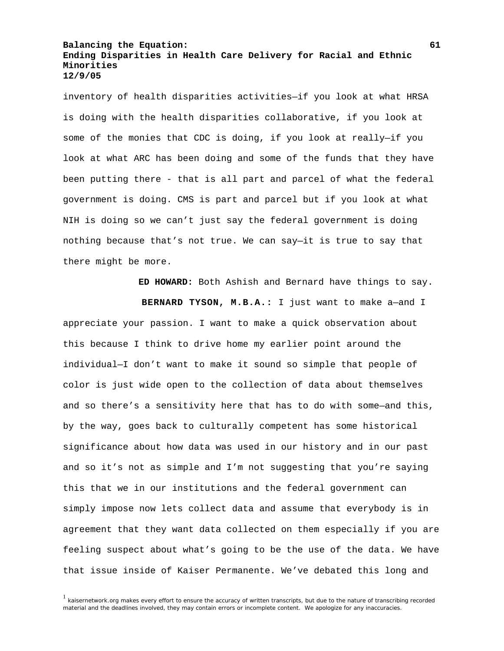inventory of health disparities activities—if you look at what HRSA is doing with the health disparities collaborative, if you look at some of the monies that CDC is doing, if you look at really—if you look at what ARC has been doing and some of the funds that they have been putting there - that is all part and parcel of what the federal government is doing. CMS is part and parcel but if you look at what NIH is doing so we can't just say the federal government is doing nothing because that's not true. We can say—it is true to say that there might be more.

**ED HOWARD:** Both Ashish and Bernard have things to say.

 **BERNARD TYSON, M.B.A.:** I just want to make a—and I appreciate your passion. I want to make a quick observation about this because I think to drive home my earlier point around the individual—I don't want to make it sound so simple that people of color is just wide open to the collection of data about themselves and so there's a sensitivity here that has to do with some—and this, by the way, goes back to culturally competent has some historical significance about how data was used in our history and in our past and so it's not as simple and I'm not suggesting that you're saying this that we in our institutions and the federal government can simply impose now lets collect data and assume that everybody is in agreement that they want data collected on them especially if you are feeling suspect about what's going to be the use of the data. We have that issue inside of Kaiser Permanente. We've debated this long and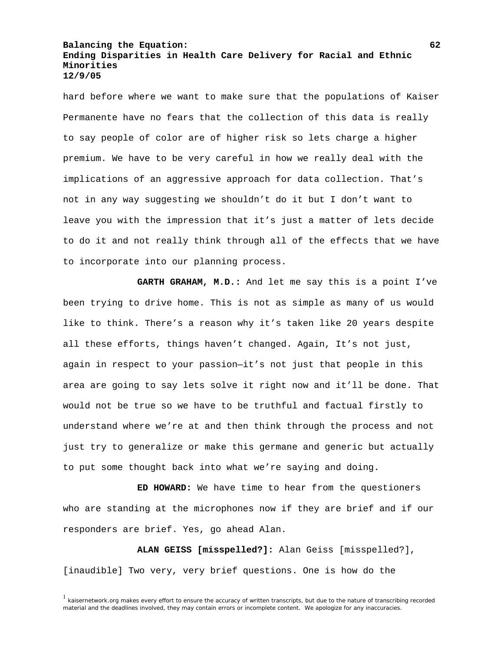hard before where we want to make sure that the populations of Kaiser Permanente have no fears that the collection of this data is really to say people of color are of higher risk so lets charge a higher premium. We have to be very careful in how we really deal with the implications of an aggressive approach for data collection. That's not in any way suggesting we shouldn't do it but I don't want to leave you with the impression that it's just a matter of lets decide to do it and not really think through all of the effects that we have to incorporate into our planning process.

 **GARTH GRAHAM, M.D.:** And let me say this is a point I've been trying to drive home. This is not as simple as many of us would like to think. There's a reason why it's taken like 20 years despite all these efforts, things haven't changed. Again, It's not just, again in respect to your passion—it's not just that people in this area are going to say lets solve it right now and it'll be done. That would not be true so we have to be truthful and factual firstly to understand where we're at and then think through the process and not just try to generalize or make this germane and generic but actually to put some thought back into what we're saying and doing.

 **ED HOWARD:** We have time to hear from the questioners who are standing at the microphones now if they are brief and if our responders are brief. Yes, go ahead Alan.

 **ALAN GEISS [misspelled?]:** Alan Geiss [misspelled?], [inaudible] Two very, very brief questions. One is how do the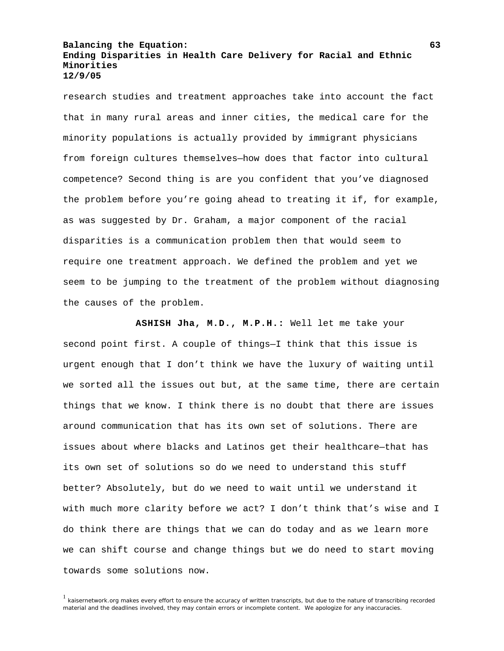research studies and treatment approaches take into account the fact that in many rural areas and inner cities, the medical care for the minority populations is actually provided by immigrant physicians from foreign cultures themselves—how does that factor into cultural competence? Second thing is are you confident that you've diagnosed the problem before you're going ahead to treating it if, for example, as was suggested by Dr. Graham, a major component of the racial disparities is a communication problem then that would seem to require one treatment approach. We defined the problem and yet we seem to be jumping to the treatment of the problem without diagnosing the causes of the problem.

 **ASHISH Jha, M.D., M.P.H.:** Well let me take your second point first. A couple of things—I think that this issue is urgent enough that I don't think we have the luxury of waiting until we sorted all the issues out but, at the same time, there are certain things that we know. I think there is no doubt that there are issues around communication that has its own set of solutions. There are issues about where blacks and Latinos get their healthcare—that has its own set of solutions so do we need to understand this stuff better? Absolutely, but do we need to wait until we understand it with much more clarity before we act? I don't think that's wise and I do think there are things that we can do today and as we learn more we can shift course and change things but we do need to start moving towards some solutions now.

<sup>&</sup>lt;sup>1</sup> kaisernetwork.org makes every effort to ensure the accuracy of written transcripts, but due to the nature of transcribing recorded material and the deadlines involved, they may contain errors or incomplete content. We apologize for any inaccuracies.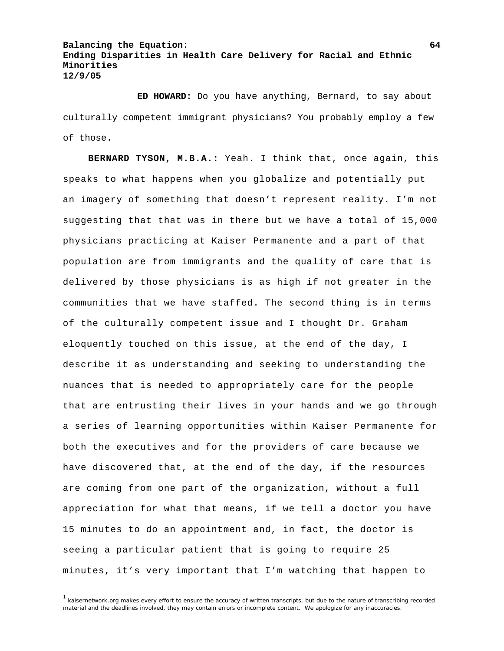**ED HOWARD:** Do you have anything, Bernard, to say about culturally competent immigrant physicians? You probably employ a few of those.

**BERNARD TYSON, M.B.A.:** Yeah. I think that, once again, this speaks to what happens when you globalize and potentially put an imagery of something that doesn't represent reality. I'm not suggesting that that was in there but we have a total of 15,000 physicians practicing at Kaiser Permanente and a part of that population are from immigrants and the quality of care that is delivered by those physicians is as high if not greater in the communities that we have staffed. The second thing is in terms of the culturally competent issue and I thought Dr. Graham eloquently touched on this issue, at the end of the day, I describe it as understanding and seeking to understanding the nuances that is needed to appropriately care for the people that are entrusting their lives in your hands and we go through a series of learning opportunities within Kaiser Permanente for both the executives and for the providers of care because we have discovered that, at the end of the day, if the resources are coming from one part of the organization, without a full appreciation for what that means, if we tell a doctor you have 15 minutes to do an appointment and, in fact, the doctor is seeing a particular patient that is going to require 25 minutes, it's very important that I'm watching that happen to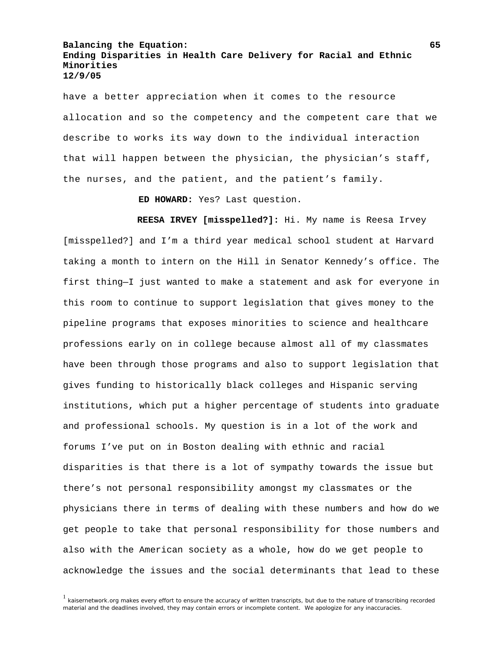have a better appreciation when it comes to the resource allocation and so the competency and the competent care that we describe to works its way down to the individual interaction that will happen between the physician, the physician's staff, the nurses, and the patient, and the patient's family.

**ED HOWARD:** Yes? Last question.

 **REESA IRVEY [misspelled?]:** Hi. My name is Reesa Irvey [misspelled?] and I'm a third year medical school student at Harvard taking a month to intern on the Hill in Senator Kennedy's office. The first thing—I just wanted to make a statement and ask for everyone in this room to continue to support legislation that gives money to the pipeline programs that exposes minorities to science and healthcare professions early on in college because almost all of my classmates have been through those programs and also to support legislation that gives funding to historically black colleges and Hispanic serving institutions, which put a higher percentage of students into graduate and professional schools. My question is in a lot of the work and forums I've put on in Boston dealing with ethnic and racial disparities is that there is a lot of sympathy towards the issue but there's not personal responsibility amongst my classmates or the physicians there in terms of dealing with these numbers and how do we get people to take that personal responsibility for those numbers and also with the American society as a whole, how do we get people to acknowledge the issues and the social determinants that lead to these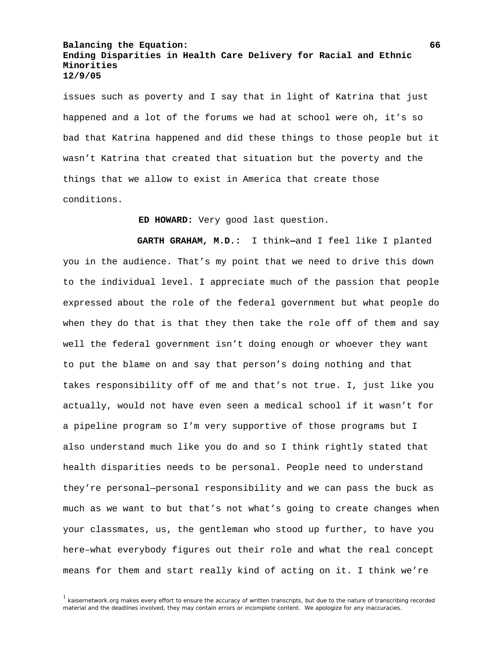issues such as poverty and I say that in light of Katrina that just happened and a lot of the forums we had at school were oh, it's so bad that Katrina happened and did these things to those people but it wasn't Katrina that created that situation but the poverty and the things that we allow to exist in America that create those conditions.

**ED HOWARD:** Very good last question.

 **GARTH GRAHAM, M.D.:** I think**—**and I feel like I planted you in the audience. That's my point that we need to drive this down to the individual level. I appreciate much of the passion that people expressed about the role of the federal government but what people do when they do that is that they then take the role off of them and say well the federal government isn't doing enough or whoever they want to put the blame on and say that person's doing nothing and that takes responsibility off of me and that's not true. I, just like you actually, would not have even seen a medical school if it wasn't for a pipeline program so I'm very supportive of those programs but I also understand much like you do and so I think rightly stated that health disparities needs to be personal. People need to understand they're personal—personal responsibility and we can pass the buck as much as we want to but that's not what's going to create changes when your classmates, us, the gentleman who stood up further, to have you here–what everybody figures out their role and what the real concept means for them and start really kind of acting on it. I think we're

<sup>&</sup>lt;sup>1</sup> kaisernetwork.org makes every effort to ensure the accuracy of written transcripts, but due to the nature of transcribing recorded material and the deadlines involved, they may contain errors or incomplete content. We apologize for any inaccuracies.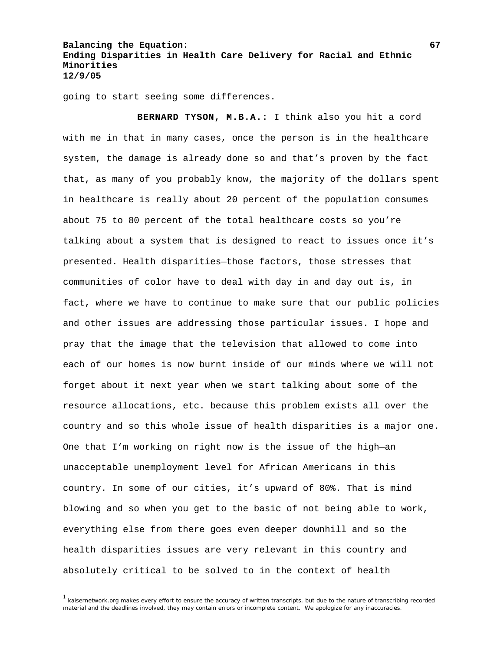going to start seeing some differences.

 **BERNARD TYSON, M.B.A.:** I think also you hit a cord with me in that in many cases, once the person is in the healthcare system, the damage is already done so and that's proven by the fact that, as many of you probably know, the majority of the dollars spent in healthcare is really about 20 percent of the population consumes about 75 to 80 percent of the total healthcare costs so you're talking about a system that is designed to react to issues once it's presented. Health disparities—those factors, those stresses that communities of color have to deal with day in and day out is, in fact, where we have to continue to make sure that our public policies and other issues are addressing those particular issues. I hope and pray that the image that the television that allowed to come into each of our homes is now burnt inside of our minds where we will not forget about it next year when we start talking about some of the resource allocations, etc. because this problem exists all over the country and so this whole issue of health disparities is a major one. One that I'm working on right now is the issue of the high—an unacceptable unemployment level for African Americans in this country. In some of our cities, it's upward of 80%. That is mind blowing and so when you get to the basic of not being able to work, everything else from there goes even deeper downhill and so the health disparities issues are very relevant in this country and absolutely critical to be solved to in the context of health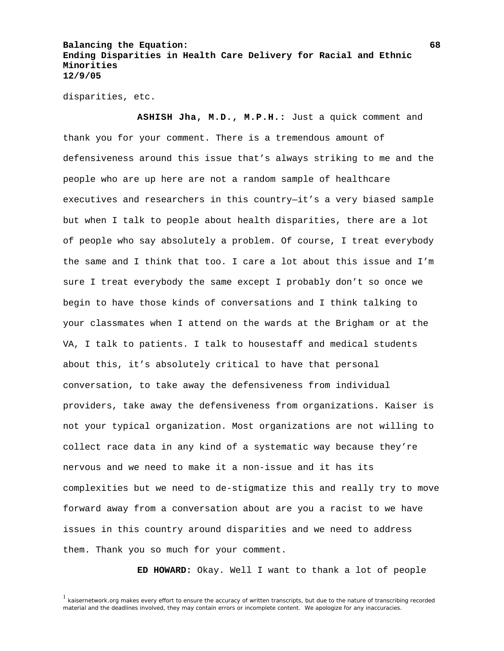disparities, etc.

 **ASHISH Jha, M.D., M.P.H.:** Just a quick comment and thank you for your comment. There is a tremendous amount of defensiveness around this issue that's always striking to me and the people who are up here are not a random sample of healthcare executives and researchers in this country—it's a very biased sample but when I talk to people about health disparities, there are a lot of people who say absolutely a problem. Of course, I treat everybody the same and I think that too. I care a lot about this issue and I'm sure I treat everybody the same except I probably don't so once we begin to have those kinds of conversations and I think talking to your classmates when I attend on the wards at the Brigham or at the VA, I talk to patients. I talk to housestaff and medical students about this, it's absolutely critical to have that personal conversation, to take away the defensiveness from individual providers, take away the defensiveness from organizations. Kaiser is not your typical organization. Most organizations are not willing to collect race data in any kind of a systematic way because they're nervous and we need to make it a non-issue and it has its complexities but we need to de-stigmatize this and really try to move forward away from a conversation about are you a racist to we have issues in this country around disparities and we need to address them. Thank you so much for your comment.

**ED HOWARD:** Okay. Well I want to thank a lot of people

<sup>&</sup>lt;sup>1</sup> kaisernetwork.org makes every effort to ensure the accuracy of written transcripts, but due to the nature of transcribing recorded material and the deadlines involved, they may contain errors or incomplete content. We apologize for any inaccuracies.